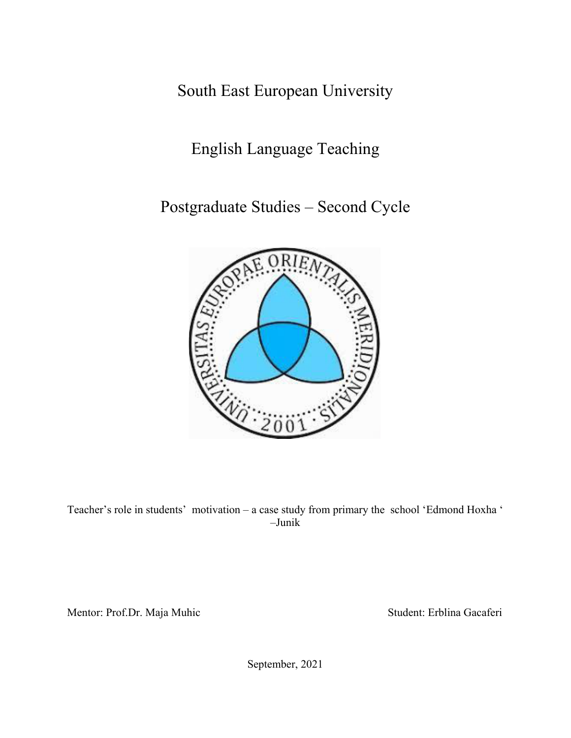South East European University

English Language Teaching

Postgraduate Studies – Second Cycle



Teacher's role in students' motivation – a case study from primary the school 'Edmond Hoxha ' –Junik

Mentor: Prof.Dr. Maja Muhic Student: Erblina Gacaferi

September, 2021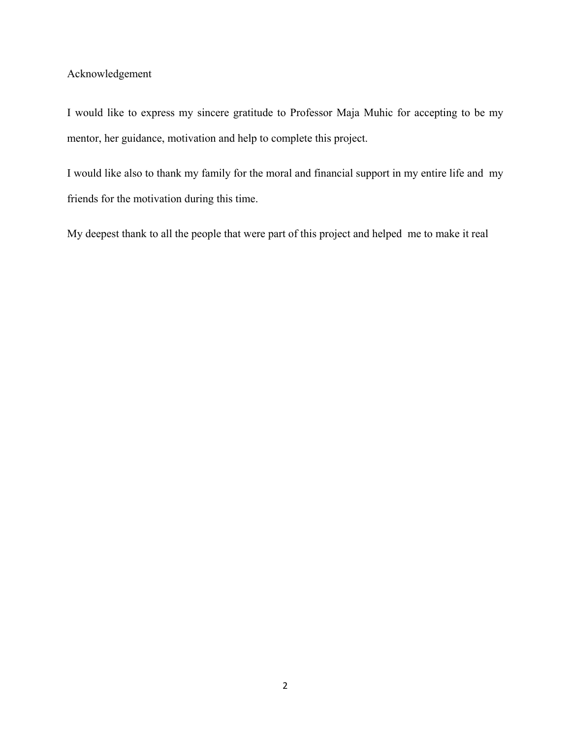## Acknowledgement

I would like to express my sincere gratitude to Professor Maja Muhic for accepting to be my mentor, her guidance, motivation and help to complete this project.

I would like also to thank my family for the moral and financial support in my entire life and my friends for the motivation during this time.

My deepest thank to all the people that were part of this project and helped me to make it real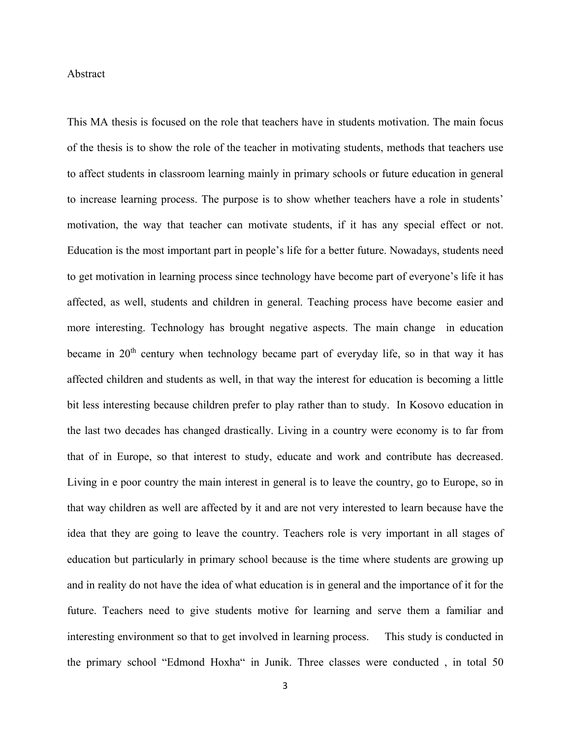#### Abstract

This MA thesis is focused on the role that teachers have in students motivation. The main focus of the thesis is to show the role of the teacher in motivating students, methods that teachers use to affect students in classroom learning mainly in primary schools or future education in general to increase learning process. The purpose is to show whether teachers have a role in students' motivation, the way that teacher can motivate students, if it has any special effect or not. Education is the most important part in people's life for a better future. Nowadays, students need to get motivation in learning process since technology have become part of everyone's life it has affected, as well, students and children in general. Teaching process have become easier and more interesting. Technology has brought negative aspects. The main change in education became in  $20<sup>th</sup>$  century when technology became part of everyday life, so in that way it has affected children and students as well, in that way the interest for education is becoming a little bit less interesting because children prefer to play rather than to study. In Kosovo education in the last two decades has changed drastically. Living in a country were economy is to far from that of in Europe, so that interest to study, educate and work and contribute has decreased. Living in e poor country the main interest in general is to leave the country, go to Europe, so in that way children as well are affected by it and are not very interested to learn because have the idea that they are going to leave the country. Teachers role is very important in all stages of education but particularly in primary school because is the time where students are growing up and in reality do not have the idea of what education is in general and the importance of it for the future. Teachers need to give students motive for learning and serve them a familiar and interesting environment so that to get involved in learning process. This study is conducted in the primary school "Edmond Hoxha" in Junik. Three classes were conducted , in total 50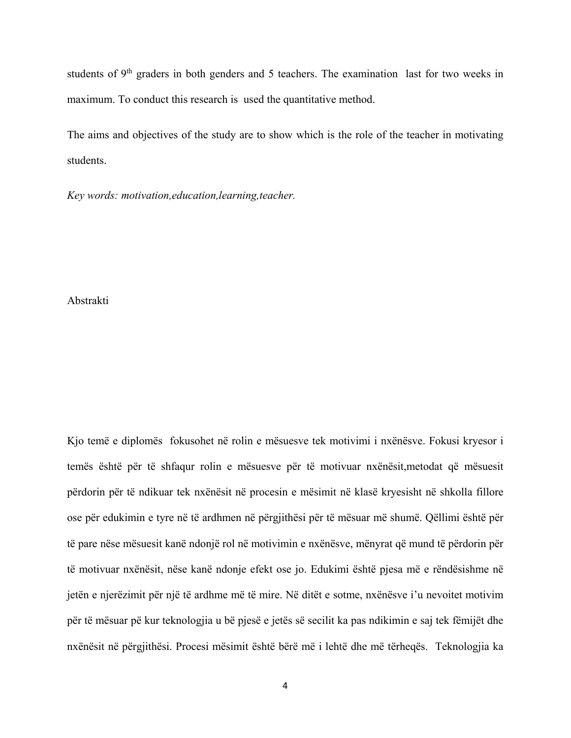students of  $9<sup>th</sup>$  graders in both genders and 5 teachers. The examination last for two weeks in maximum. To conduct this research is used the quantitative method.

The aims and objectives of the study are to show which is the role of the teacher in motivating students.

*Key words: motivation,education,learning,teacher.* 

#### Abstrakti

Kjo temë e diplomës fokusohet në rolin e mësuesve tek motivimi i nxënësve. Fokusi kryesor i temës është për të shfaqur rolin e mësuesve për të motivuar nxënësit,metodat që mësuesit përdorin për të ndikuar tek nxënësit në procesin e mësimit në klasë kryesisht në shkolla fillore ose për edukimin e tyre në të ardhmen në përgjithësi për të mësuar më shumë. Qëllimi është për të pare nëse mësuesit kanë ndonjë rol në motivimin e nxënësve, mënyrat që mund të përdorin për të motivuar nxënësit, nëse kanë ndonje efekt ose jo. Edukimi është pjesa më e rëndësishme në jetën e njerëzimit për një të ardhme më të mire. Në ditët e sotme, nxënësve i'u nevoitet motivim për të mësuar pë kur teknologjia u bë pjesë e jetës së secilit ka pas ndikimin e saj tek fëmijët dhe nxënësit në përgjithësi. Procesi mësimit është bërë më i lehtë dhe më tërheqës. Teknologjia ka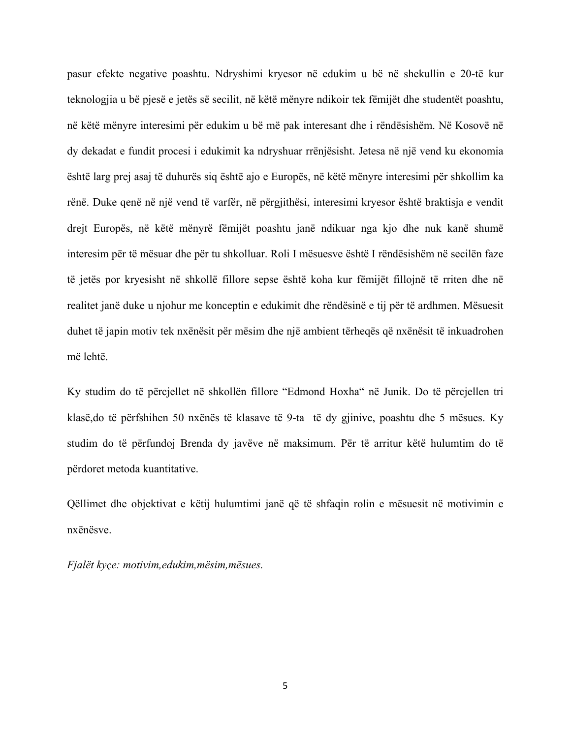pasur efekte negative poashtu. Ndryshimi kryesor në edukim u bë në shekullin e 20-të kur teknologjia u bë pjesë e jetës së secilit, në këtë mënyre ndikoir tek fëmijët dhe studentët poashtu, në këtë mënyre interesimi për edukim u bë më pak interesant dhe i rëndësishëm. Në Kosovë në dy dekadat e fundit procesi i edukimit ka ndryshuar rrënjësisht. Jetesa në një vend ku ekonomia është larg prej asaj të duhurës siq është ajo e Europës, në këtë mënyre interesimi për shkollim ka rënë. Duke qenë në një vend të varfër, në përgjithësi, interesimi kryesor është braktisja e vendit drejt Europës, në këtë mënyrë fëmijët poashtu janë ndikuar nga kjo dhe nuk kanë shumë interesim për të mësuar dhe për tu shkolluar. Roli I mësuesve është I rëndësishëm në secilën faze të jetës por kryesisht në shkollë fillore sepse është koha kur fëmijët fillojnë të rriten dhe në realitet janë duke u njohur me konceptin e edukimit dhe rëndësinë e tij për të ardhmen. Mësuesit duhet të japin motiv tek nxënësit për mësim dhe një ambient tërheqës që nxënësit të inkuadrohen më lehtë.

Ky studim do të përcjellet në shkollën fillore "Edmond Hoxha" në Junik. Do të përcjellen tri klasë,do të përfshihen 50 nxënës të klasave të 9-ta të dy gjinive, poashtu dhe 5 mësues. Ky studim do të përfundoj Brenda dy javëve në maksimum. Për të arritur këtë hulumtim do të përdoret metoda kuantitative.

Qëllimet dhe objektivat e këtij hulumtimi janë që të shfaqin rolin e mësuesit në motivimin e nxënësve.

*Fjalët kyçe: motivim,edukim,mësim,mësues.*

5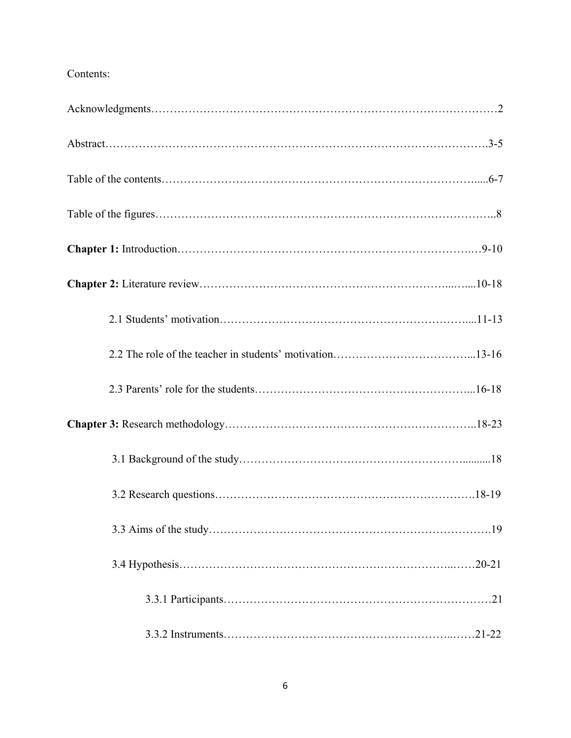# Contents: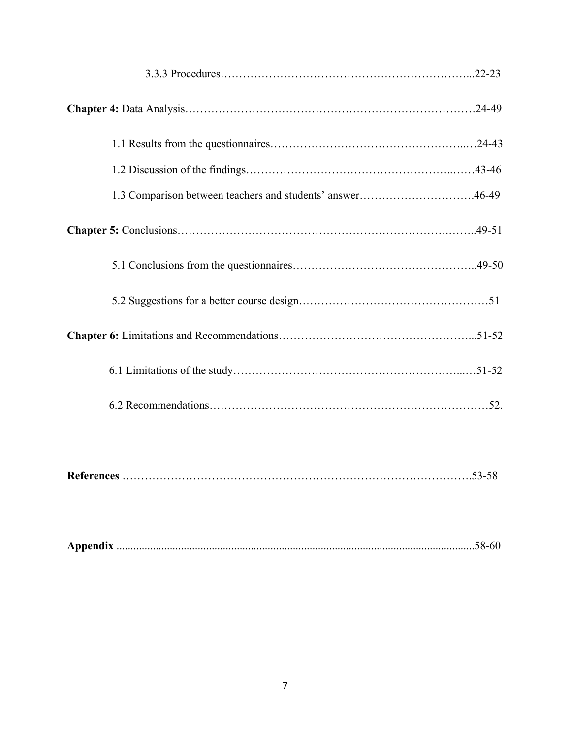| 1.3 Comparison between teachers and students' answer46-49 |
|-----------------------------------------------------------|
|                                                           |
|                                                           |
|                                                           |
|                                                           |
|                                                           |
|                                                           |
|                                                           |

|--|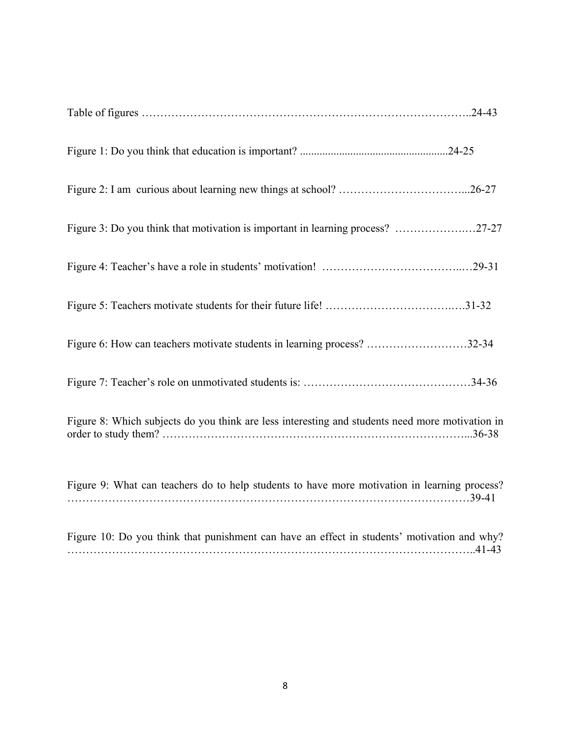| Figure 3: Do you think that motivation is important in learning process? 27-27                  |
|-------------------------------------------------------------------------------------------------|
|                                                                                                 |
|                                                                                                 |
| Figure 6: How can teachers motivate students in learning process? 32-34                         |
|                                                                                                 |
| Figure 8: Which subjects do you think are less interesting and students need more motivation in |
| Figure 9: What can teachers do to help students to have more motivation in learning process?    |
| Figure 10: Do you think that punishment can have an effect in students' motivation and why?     |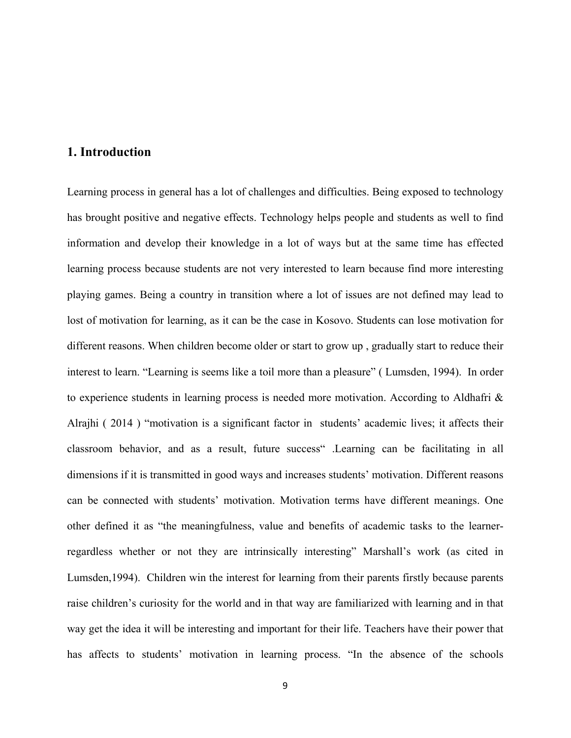### **1. Introduction**

Learning process in general has a lot of challenges and difficulties. Being exposed to technology has brought positive and negative effects. Technology helps people and students as well to find information and develop their knowledge in a lot of ways but at the same time has effected learning process because students are not very interested to learn because find more interesting playing games. Being a country in transition where a lot of issues are not defined may lead to lost of motivation for learning, as it can be the case in Kosovo. Students can lose motivation for different reasons. When children become older or start to grow up , gradually start to reduce their interest to learn. "Learning is seems like a toil more than a pleasure" ( Lumsden, 1994). In order to experience students in learning process is needed more motivation. According to Aldhafri & Alrajhi ( 2014 ) "motivation is a significant factor in students' academic lives; it affects their classroom behavior, and as a result, future success" .Learning can be facilitating in all dimensions if it is transmitted in good ways and increases students' motivation. Different reasons can be connected with students' motivation. Motivation terms have different meanings. One other defined it as "the meaningfulness, value and benefits of academic tasks to the learnerregardless whether or not they are intrinsically interesting" Marshall's work (as cited in Lumsden,1994). Children win the interest for learning from their parents firstly because parents raise children's curiosity for the world and in that way are familiarized with learning and in that way get the idea it will be interesting and important for their life. Teachers have their power that has affects to students' motivation in learning process. "In the absence of the schools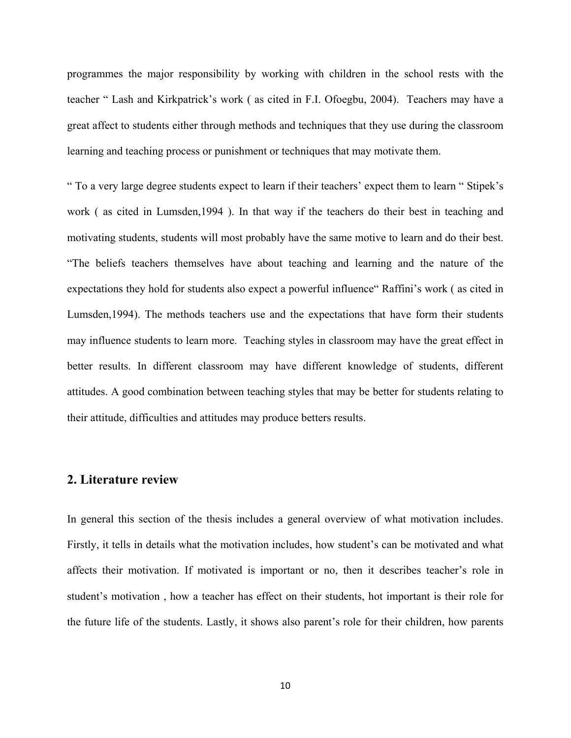programmes the major responsibility by working with children in the school rests with the teacher " Lash and Kirkpatrick's work ( as cited in F.I. Ofoegbu, 2004). Teachers may have a great affect to students either through methods and techniques that they use during the classroom learning and teaching process or punishment or techniques that may motivate them.

" To a very large degree students expect to learn if their teachers' expect them to learn " Stipek's work ( as cited in Lumsden,1994 ). In that way if the teachers do their best in teaching and motivating students, students will most probably have the same motive to learn and do their best. "The beliefs teachers themselves have about teaching and learning and the nature of the expectations they hold for students also expect a powerful influence" Raffini's work ( as cited in Lumsden,1994). The methods teachers use and the expectations that have form their students may influence students to learn more. Teaching styles in classroom may have the great effect in better results. In different classroom may have different knowledge of students, different attitudes. A good combination between teaching styles that may be better for students relating to their attitude, difficulties and attitudes may produce betters results.

## **2. Literature review**

In general this section of the thesis includes a general overview of what motivation includes. Firstly, it tells in details what the motivation includes, how student's can be motivated and what affects their motivation. If motivated is important or no, then it describes teacher's role in student's motivation , how a teacher has effect on their students, hot important is their role for the future life of the students. Lastly, it shows also parent's role for their children, how parents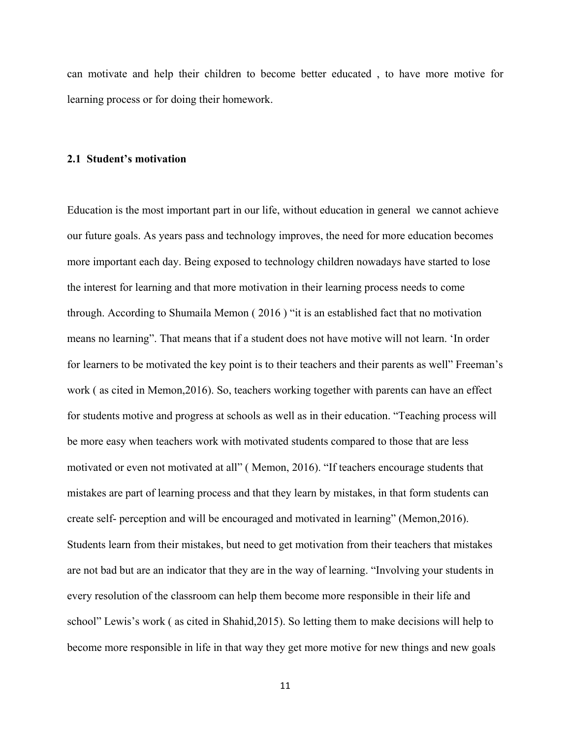can motivate and help their children to become better educated , to have more motive for learning process or for doing their homework.

#### **2.1 Student's motivation**

Education is the most important part in our life, without education in general we cannot achieve our future goals. As years pass and technology improves, the need for more education becomes more important each day. Being exposed to technology children nowadays have started to lose the interest for learning and that more motivation in their learning process needs to come through. According to Shumaila Memon ( 2016 ) "it is an established fact that no motivation means no learning". That means that if a student does not have motive will not learn. 'In order for learners to be motivated the key point is to their teachers and their parents as well" Freeman's work ( as cited in Memon,2016). So, teachers working together with parents can have an effect for students motive and progress at schools as well as in their education. "Teaching process will be more easy when teachers work with motivated students compared to those that are less motivated or even not motivated at all" ( Memon, 2016). "If teachers encourage students that mistakes are part of learning process and that they learn by mistakes, in that form students can create self- perception and will be encouraged and motivated in learning" (Memon,2016). Students learn from their mistakes, but need to get motivation from their teachers that mistakes are not bad but are an indicator that they are in the way of learning. "Involving your students in every resolution of the classroom can help them become more responsible in their life and school" Lewis's work ( as cited in Shahid,2015). So letting them to make decisions will help to become more responsible in life in that way they get more motive for new things and new goals

11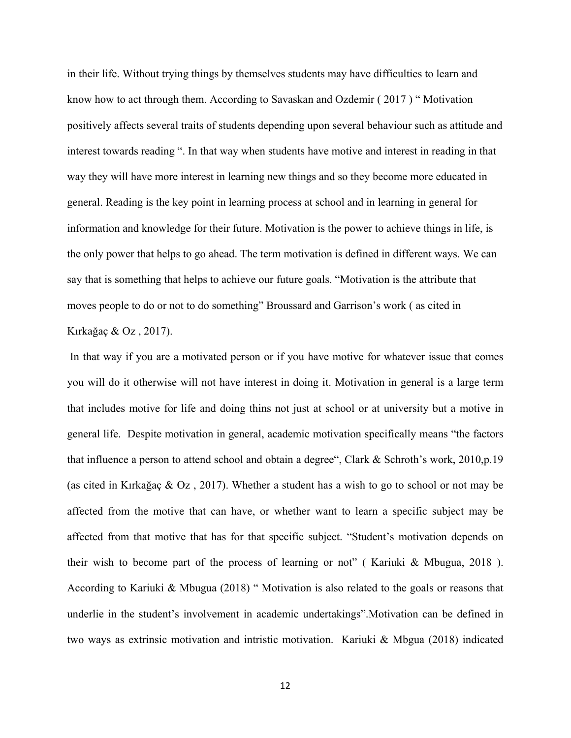in their life. Without trying things by themselves students may have difficulties to learn and know how to act through them. According to Savaskan and Ozdemir ( 2017 ) " Motivation positively affects several traits of students depending upon several behaviour such as attitude and interest towards reading ". In that way when students have motive and interest in reading in that way they will have more interest in learning new things and so they become more educated in general. Reading is the key point in learning process at school and in learning in general for information and knowledge for their future. Motivation is the power to achieve things in life, is the only power that helps to go ahead. The term motivation is defined in different ways. We can say that is something that helps to achieve our future goals. "Motivation is the attribute that moves people to do or not to do something" Broussard and Garrison's work ( as cited in Kırkağaç & Oz , 2017).

In that way if you are a motivated person or if you have motive for whatever issue that comes you will do it otherwise will not have interest in doing it. Motivation in general is a large term that includes motive for life and doing thins not just at school or at university but a motive in general life. Despite motivation in general, academic motivation specifically means "the factors that influence a person to attend school and obtain a degree", Clark & Schroth's work, 2010,p.19 (as cited in Kırkağaç & Oz , 2017). Whether a student has a wish to go to school or not may be affected from the motive that can have, or whether want to learn a specific subject may be affected from that motive that has for that specific subject. "Student's motivation depends on their wish to become part of the process of learning or not" ( Kariuki & Mbugua, 2018 ). According to Kariuki & Mbugua (2018) " Motivation is also related to the goals or reasons that underlie in the student's involvement in academic undertakings".Motivation can be defined in two ways as extrinsic motivation and intristic motivation. Kariuki & Mbgua (2018) indicated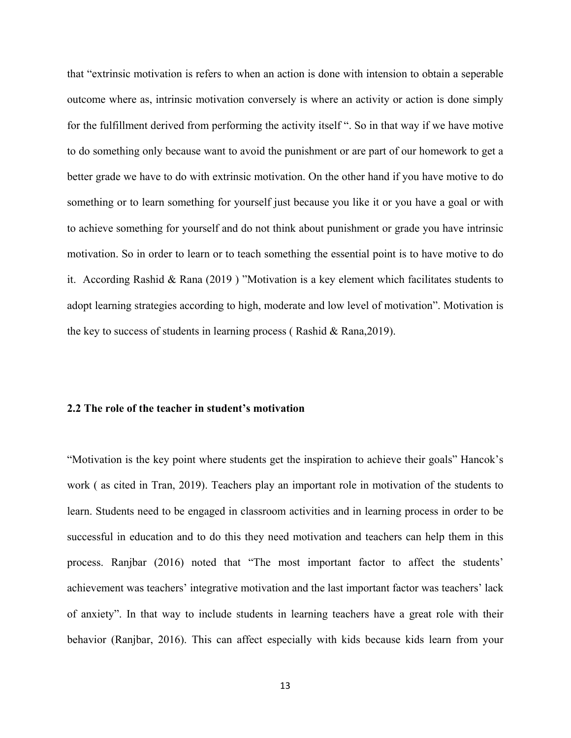that "extrinsic motivation is refers to when an action is done with intension to obtain a seperable outcome where as, intrinsic motivation conversely is where an activity or action is done simply for the fulfillment derived from performing the activity itself ". So in that way if we have motive to do something only because want to avoid the punishment or are part of our homework to get a better grade we have to do with extrinsic motivation. On the other hand if you have motive to do something or to learn something for yourself just because you like it or you have a goal or with to achieve something for yourself and do not think about punishment or grade you have intrinsic motivation. So in order to learn or to teach something the essential point is to have motive to do it. According Rashid & Rana (2019 ) "Motivation is a key element which facilitates students to adopt learning strategies according to high, moderate and low level of motivation". Motivation is the key to success of students in learning process ( Rashid & Rana,2019).

#### **2.2 The role of the teacher in student's motivation**

"Motivation is the key point where students get the inspiration to achieve their goals" Hancok's work ( as cited in Tran, 2019). Teachers play an important role in motivation of the students to learn. Students need to be engaged in classroom activities and in learning process in order to be successful in education and to do this they need motivation and teachers can help them in this process. Ranjbar (2016) noted that "The most important factor to affect the students' achievement was teachers' integrative motivation and the last important factor was teachers' lack of anxiety". In that way to include students in learning teachers have a great role with their behavior (Ranjbar, 2016). This can affect especially with kids because kids learn from your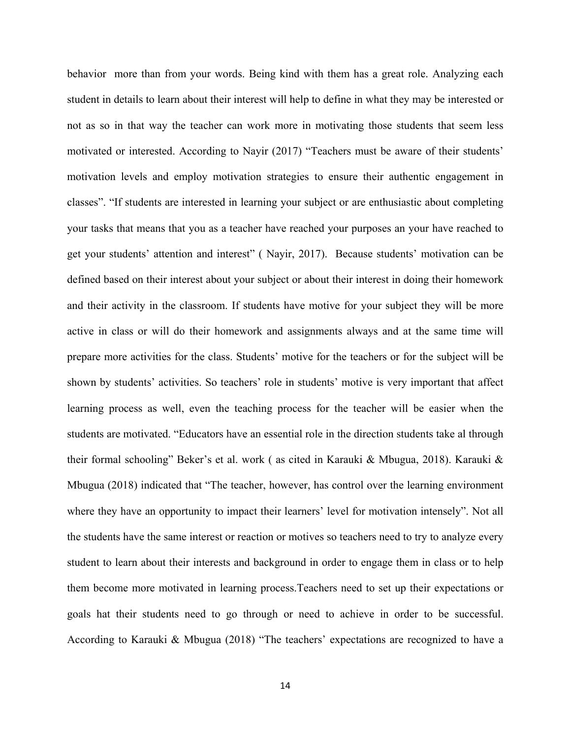behavior more than from your words. Being kind with them has a great role. Analyzing each student in details to learn about their interest will help to define in what they may be interested or not as so in that way the teacher can work more in motivating those students that seem less motivated or interested. According to Nayir (2017) "Teachers must be aware of their students' motivation levels and employ motivation strategies to ensure their authentic engagement in classes". "If students are interested in learning your subject or are enthusiastic about completing your tasks that means that you as a teacher have reached your purposes an your have reached to get your students' attention and interest" ( Nayir, 2017). Because students' motivation can be defined based on their interest about your subject or about their interest in doing their homework and their activity in the classroom. If students have motive for your subject they will be more active in class or will do their homework and assignments always and at the same time will prepare more activities for the class. Students' motive for the teachers or for the subject will be shown by students' activities. So teachers' role in students' motive is very important that affect learning process as well, even the teaching process for the teacher will be easier when the students are motivated. "Educators have an essential role in the direction students take al through their formal schooling" Beker's et al. work ( as cited in Karauki & Mbugua, 2018). Karauki & Mbugua (2018) indicated that "The teacher, however, has control over the learning environment where they have an opportunity to impact their learners' level for motivation intensely". Not all the students have the same interest or reaction or motives so teachers need to try to analyze every student to learn about their interests and background in order to engage them in class or to help them become more motivated in learning process.Teachers need to set up their expectations or goals hat their students need to go through or need to achieve in order to be successful. According to Karauki & Mbugua (2018) "The teachers' expectations are recognized to have a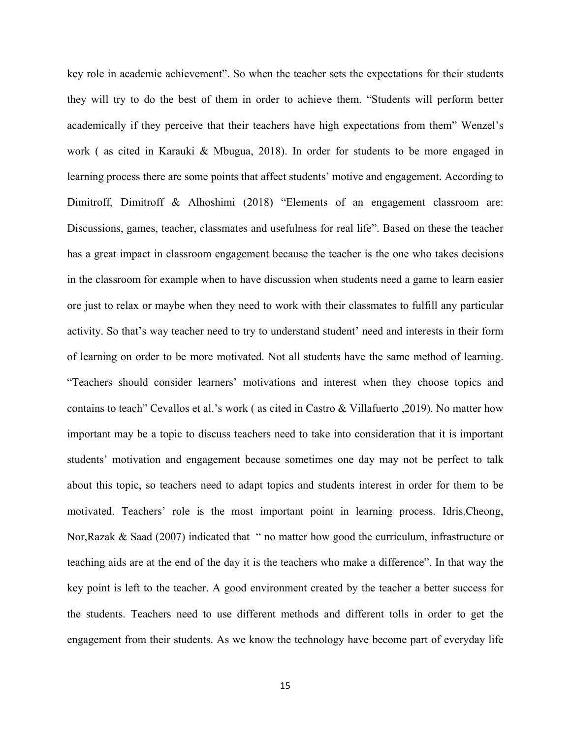key role in academic achievement". So when the teacher sets the expectations for their students they will try to do the best of them in order to achieve them. "Students will perform better academically if they perceive that their teachers have high expectations from them" Wenzel's work ( as cited in Karauki & Mbugua, 2018). In order for students to be more engaged in learning process there are some points that affect students' motive and engagement. According to Dimitroff, Dimitroff & Alhoshimi (2018) "Elements of an engagement classroom are: Discussions, games, teacher, classmates and usefulness for real life". Based on these the teacher has a great impact in classroom engagement because the teacher is the one who takes decisions in the classroom for example when to have discussion when students need a game to learn easier ore just to relax or maybe when they need to work with their classmates to fulfill any particular activity. So that's way teacher need to try to understand student' need and interests in their form of learning on order to be more motivated. Not all students have the same method of learning. "Teachers should consider learners' motivations and interest when they choose topics and contains to teach" Cevallos et al.'s work ( as cited in Castro & Villafuerto ,2019). No matter how important may be a topic to discuss teachers need to take into consideration that it is important students' motivation and engagement because sometimes one day may not be perfect to talk about this topic, so teachers need to adapt topics and students interest in order for them to be motivated. Teachers' role is the most important point in learning process. Idris,Cheong, Nor,Razak & Saad (2007) indicated that " no matter how good the curriculum, infrastructure or teaching aids are at the end of the day it is the teachers who make a difference". In that way the key point is left to the teacher. A good environment created by the teacher a better success for the students. Teachers need to use different methods and different tolls in order to get the engagement from their students. As we know the technology have become part of everyday life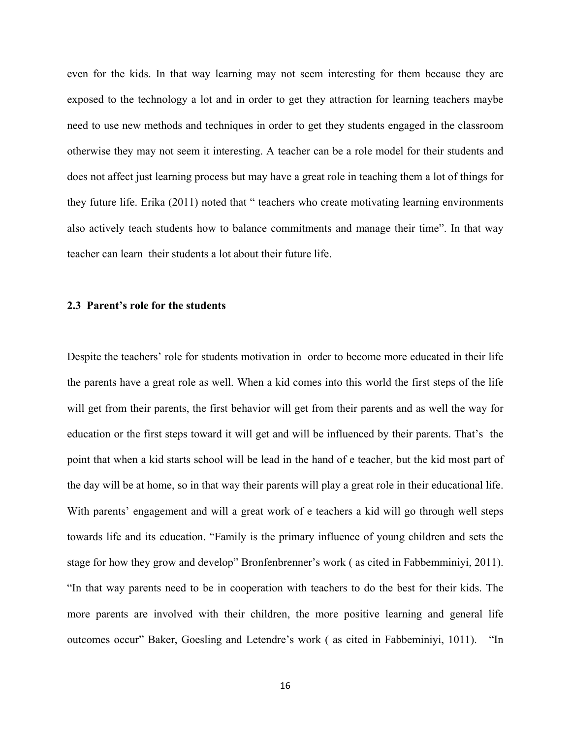even for the kids. In that way learning may not seem interesting for them because they are exposed to the technology a lot and in order to get they attraction for learning teachers maybe need to use new methods and techniques in order to get they students engaged in the classroom otherwise they may not seem it interesting. A teacher can be a role model for their students and does not affect just learning process but may have a great role in teaching them a lot of things for they future life. Erika (2011) noted that " teachers who create motivating learning environments also actively teach students how to balance commitments and manage their time". In that way teacher can learn their students a lot about their future life.

#### **2.3 Parent's role for the students**

Despite the teachers' role for students motivation in order to become more educated in their life the parents have a great role as well. When a kid comes into this world the first steps of the life will get from their parents, the first behavior will get from their parents and as well the way for education or the first steps toward it will get and will be influenced by their parents. That's the point that when a kid starts school will be lead in the hand of e teacher, but the kid most part of the day will be at home, so in that way their parents will play a great role in their educational life. With parents' engagement and will a great work of e teachers a kid will go through well steps towards life and its education. "Family is the primary influence of young children and sets the stage for how they grow and develop" Bronfenbrenner's work ( as cited in Fabbemminiyi, 2011). "In that way parents need to be in cooperation with teachers to do the best for their kids. The more parents are involved with their children, the more positive learning and general life outcomes occur" Baker, Goesling and Letendre's work ( as cited in Fabbeminiyi, 1011). "In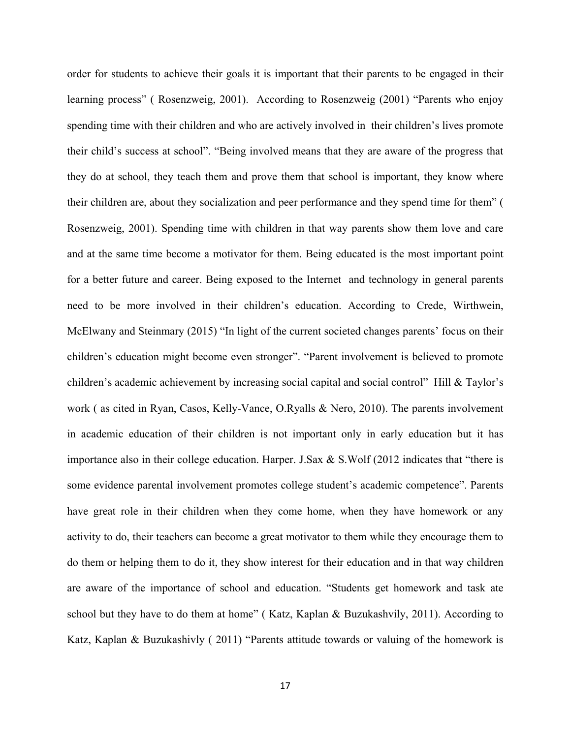order for students to achieve their goals it is important that their parents to be engaged in their learning process" ( Rosenzweig, 2001). According to Rosenzweig (2001) "Parents who enjoy spending time with their children and who are actively involved in their children's lives promote their child's success at school". "Being involved means that they are aware of the progress that they do at school, they teach them and prove them that school is important, they know where their children are, about they socialization and peer performance and they spend time for them" ( Rosenzweig, 2001). Spending time with children in that way parents show them love and care and at the same time become a motivator for them. Being educated is the most important point for a better future and career. Being exposed to the Internet and technology in general parents need to be more involved in their children's education. According to Crede, Wirthwein, McElwany and Steinmary (2015) "In light of the current societed changes parents' focus on their children's education might become even stronger". "Parent involvement is believed to promote children's academic achievement by increasing social capital and social control" Hill & Taylor's work ( as cited in Ryan, Casos, Kelly-Vance, O.Ryalls & Nero, 2010). The parents involvement in academic education of their children is not important only in early education but it has importance also in their college education. Harper. J.Sax & S.Wolf (2012 indicates that "there is some evidence parental involvement promotes college student's academic competence". Parents have great role in their children when they come home, when they have homework or any activity to do, their teachers can become a great motivator to them while they encourage them to do them or helping them to do it, they show interest for their education and in that way children are aware of the importance of school and education. "Students get homework and task ate school but they have to do them at home" ( Katz, Kaplan & Buzukashvily, 2011). According to Katz, Kaplan & Buzukashivly ( 2011) "Parents attitude towards or valuing of the homework is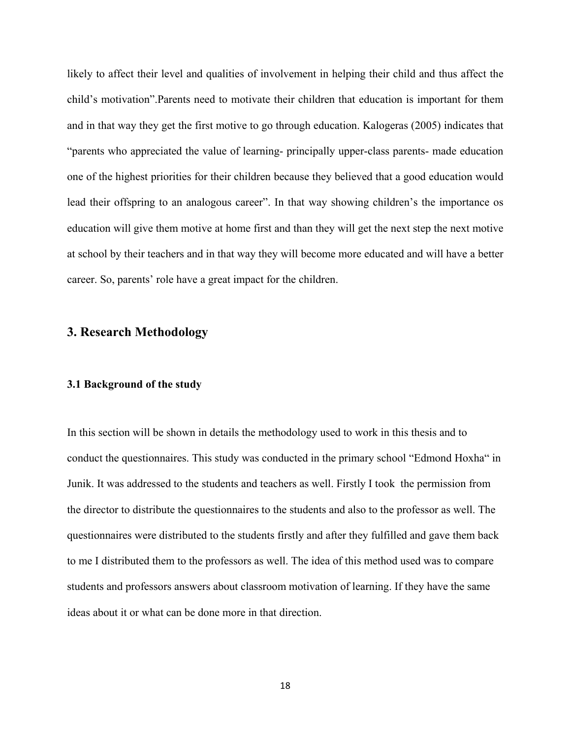likely to affect their level and qualities of involvement in helping their child and thus affect the child's motivation".Parents need to motivate their children that education is important for them and in that way they get the first motive to go through education. Kalogeras (2005) indicates that "parents who appreciated the value of learning- principally upper-class parents- made education one of the highest priorities for their children because they believed that a good education would lead their offspring to an analogous career". In that way showing children's the importance os education will give them motive at home first and than they will get the next step the next motive at school by their teachers and in that way they will become more educated and will have a better career. So, parents' role have a great impact for the children.

## **3. Research Methodology**

#### **3.1 Background of the study**

In this section will be shown in details the methodology used to work in this thesis and to conduct the questionnaires. This study was conducted in the primary school "Edmond Hoxha" in Junik. It was addressed to the students and teachers as well. Firstly I took the permission from the director to distribute the questionnaires to the students and also to the professor as well. The questionnaires were distributed to the students firstly and after they fulfilled and gave them back to me I distributed them to the professors as well. The idea of this method used was to compare students and professors answers about classroom motivation of learning. If they have the same ideas about it or what can be done more in that direction.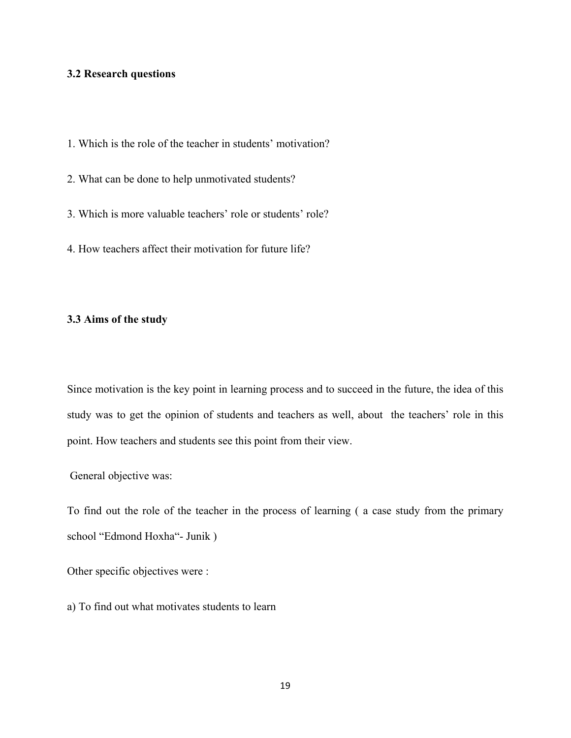#### **3.2 Research questions**

- 1. Which is the role of the teacher in students' motivation?
- 2. What can be done to help unmotivated students?
- 3. Which is more valuable teachers' role or students' role?
- 4. How teachers affect their motivation for future life?

#### **3.3 Aims of the study**

Since motivation is the key point in learning process and to succeed in the future, the idea of this study was to get the opinion of students and teachers as well, about the teachers' role in this point. How teachers and students see this point from their view.

General objective was:

To find out the role of the teacher in the process of learning ( a case study from the primary school "Edmond Hoxha"- Junik )

Other specific objectives were :

a) To find out what motivates students to learn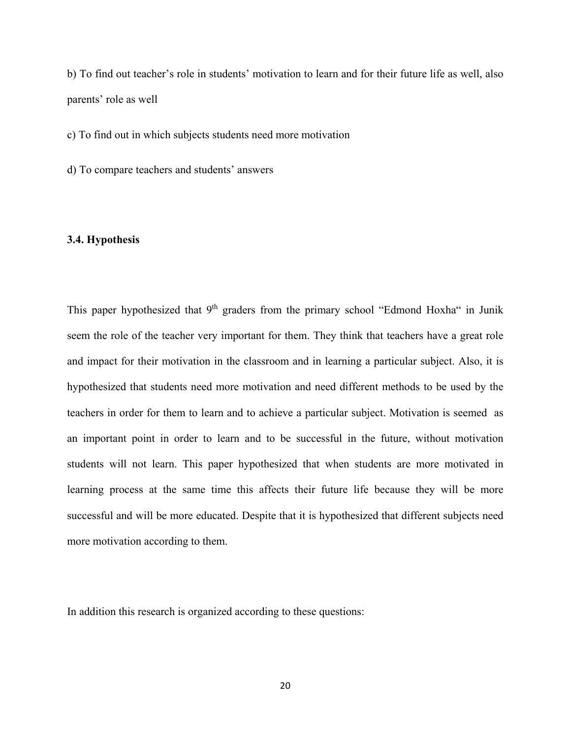b) To find out teacher's role in students' motivation to learn and for their future life as well, also parents' role as well

c) To find out in which subjects students need more motivation

d) To compare teachers and students' answers

#### **3.4. Hypothesis**

This paper hypothesized that 9<sup>th</sup> graders from the primary school "Edmond Hoxha" in Junik seem the role of the teacher very important for them. They think that teachers have a great role and impact for their motivation in the classroom and in learning a particular subject. Also, it is hypothesized that students need more motivation and need different methods to be used by the teachers in order for them to learn and to achieve a particular subject. Motivation is seemed as an important point in order to learn and to be successful in the future, without motivation students will not learn. This paper hypothesized that when students are more motivated in learning process at the same time this affects their future life because they will be more successful and will be more educated. Despite that it is hypothesized that different subjects need more motivation according to them.

In addition this research is organized according to these questions: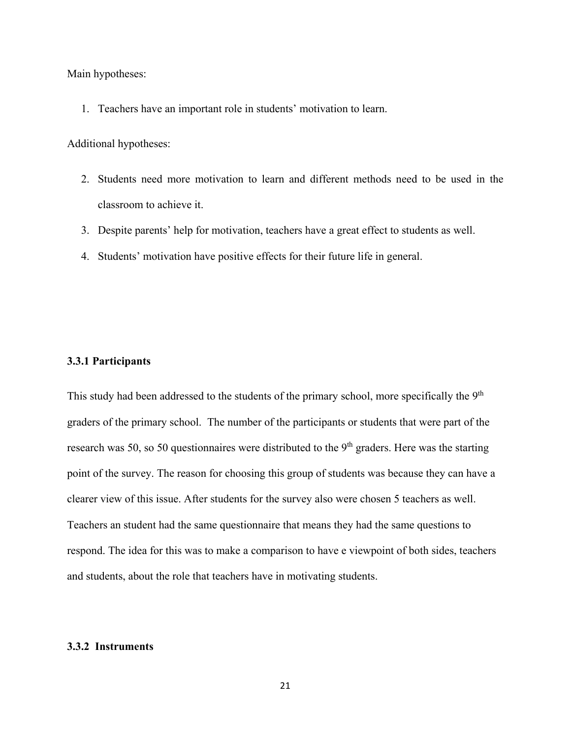Main hypotheses:

1. Teachers have an important role in students' motivation to learn.

Additional hypotheses:

- 2. Students need more motivation to learn and different methods need to be used in the classroom to achieve it.
- 3. Despite parents' help for motivation, teachers have a great effect to students as well.
- 4. Students' motivation have positive effects for their future life in general.

#### **3.3.1 Participants**

This study had been addressed to the students of the primary school, more specifically the 9<sup>th</sup> graders of the primary school. The number of the participants or students that were part of the research was 50, so 50 questionnaires were distributed to the  $9<sup>th</sup>$  graders. Here was the starting point of the survey. The reason for choosing this group of students was because they can have a clearer view of this issue. After students for the survey also were chosen 5 teachers as well. Teachers an student had the same questionnaire that means they had the same questions to respond. The idea for this was to make a comparison to have e viewpoint of both sides, teachers and students, about the role that teachers have in motivating students.

### **3.3.2 Instruments**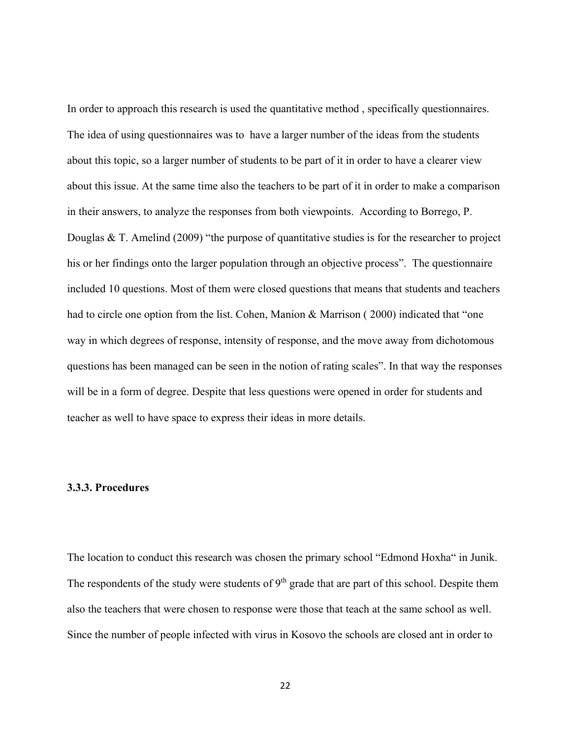In order to approach this research is used the quantitative method , specifically questionnaires. The idea of using questionnaires was to have a larger number of the ideas from the students about this topic, so a larger number of students to be part of it in order to have a clearer view about this issue. At the same time also the teachers to be part of it in order to make a comparison in their answers, to analyze the responses from both viewpoints. According to Borrego, P. Douglas & T. Amelind (2009) "the purpose of quantitative studies is for the researcher to project his or her findings onto the larger population through an objective process". The questionnaire included 10 questions. Most of them were closed questions that means that students and teachers had to circle one option from the list. Cohen, Manion & Marrison (2000) indicated that "one way in which degrees of response, intensity of response, and the move away from dichotomous questions has been managed can be seen in the notion of rating scales". In that way the responses will be in a form of degree. Despite that less questions were opened in order for students and teacher as well to have space to express their ideas in more details.

#### **3.3.3. Procedures**

The location to conduct this research was chosen the primary school "Edmond Hoxha" in Junik. The respondents of the study were students of  $9<sup>th</sup>$  grade that are part of this school. Despite them also the teachers that were chosen to response were those that teach at the same school as well. Since the number of people infected with virus in Kosovo the schools are closed ant in order to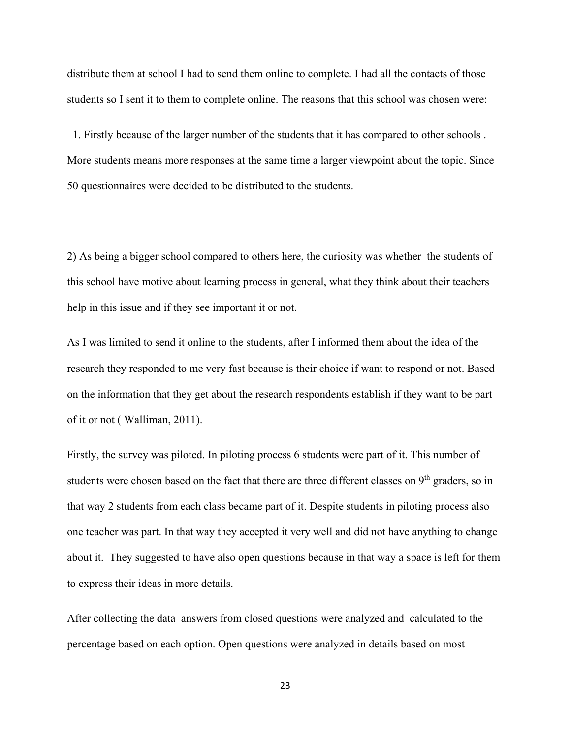distribute them at school I had to send them online to complete. I had all the contacts of those students so I sent it to them to complete online. The reasons that this school was chosen were:

 1. Firstly because of the larger number of the students that it has compared to other schools . More students means more responses at the same time a larger viewpoint about the topic. Since 50 questionnaires were decided to be distributed to the students.

2) As being a bigger school compared to others here, the curiosity was whether the students of this school have motive about learning process in general, what they think about their teachers help in this issue and if they see important it or not.

As I was limited to send it online to the students, after I informed them about the idea of the research they responded to me very fast because is their choice if want to respond or not. Based on the information that they get about the research respondents establish if they want to be part of it or not ( Walliman, 2011).

Firstly, the survey was piloted. In piloting process 6 students were part of it. This number of students were chosen based on the fact that there are three different classes on 9<sup>th</sup> graders, so in that way 2 students from each class became part of it. Despite students in piloting process also one teacher was part. In that way they accepted it very well and did not have anything to change about it. They suggested to have also open questions because in that way a space is left for them to express their ideas in more details.

After collecting the data answers from closed questions were analyzed and calculated to the percentage based on each option. Open questions were analyzed in details based on most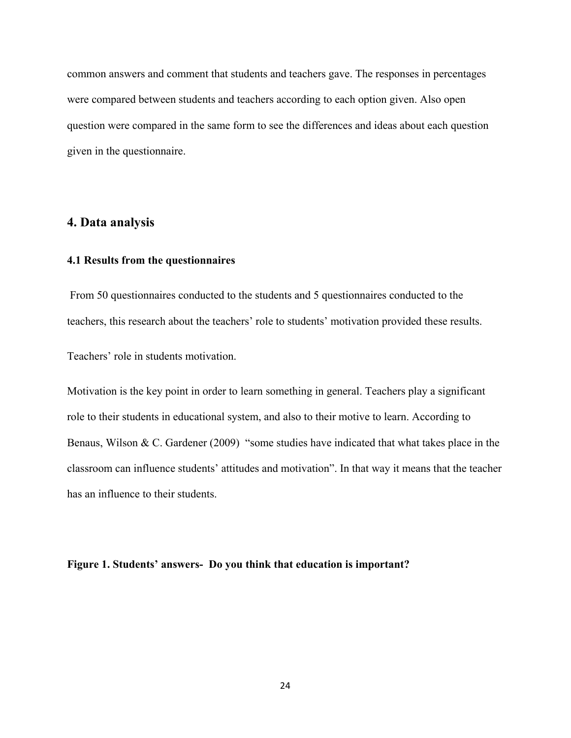common answers and comment that students and teachers gave. The responses in percentages were compared between students and teachers according to each option given. Also open question were compared in the same form to see the differences and ideas about each question given in the questionnaire.

## **4. Data analysis**

#### **4.1 Results from the questionnaires**

 From 50 questionnaires conducted to the students and 5 questionnaires conducted to the teachers, this research about the teachers' role to students' motivation provided these results. Teachers' role in students motivation.

Motivation is the key point in order to learn something in general. Teachers play a significant role to their students in educational system, and also to their motive to learn. According to Benaus, Wilson & C. Gardener (2009) "some studies have indicated that what takes place in the classroom can influence students' attitudes and motivation". In that way it means that the teacher has an influence to their students.

#### **Figure 1. Students' answers- Do you think that education is important?**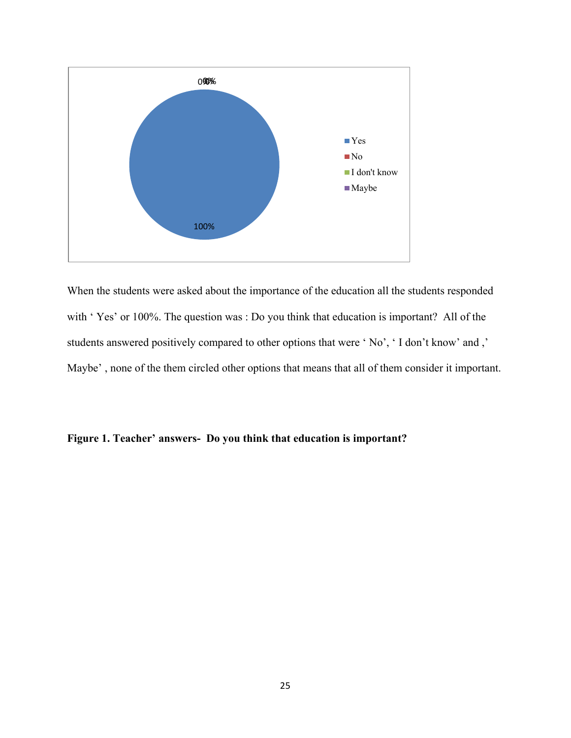

When the students were asked about the importance of the education all the students responded with ' Yes' or 100%. The question was : Do you think that education is important? All of the students answered positively compared to other options that were ' No', ' I don't know' and ,' Maybe' , none of the them circled other options that means that all of them consider it important.

## **Figure 1. Teacher' answers- Do you think that education is important?**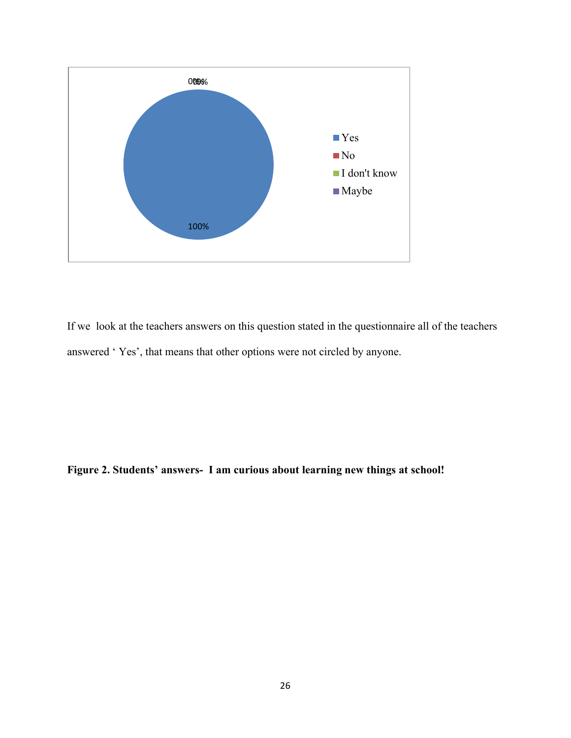

If we look at the teachers answers on this question stated in the questionnaire all of the teachers answered ' Yes', that means that other options were not circled by anyone.

**Figure 2. Students' answers- I am curious about learning new things at school!**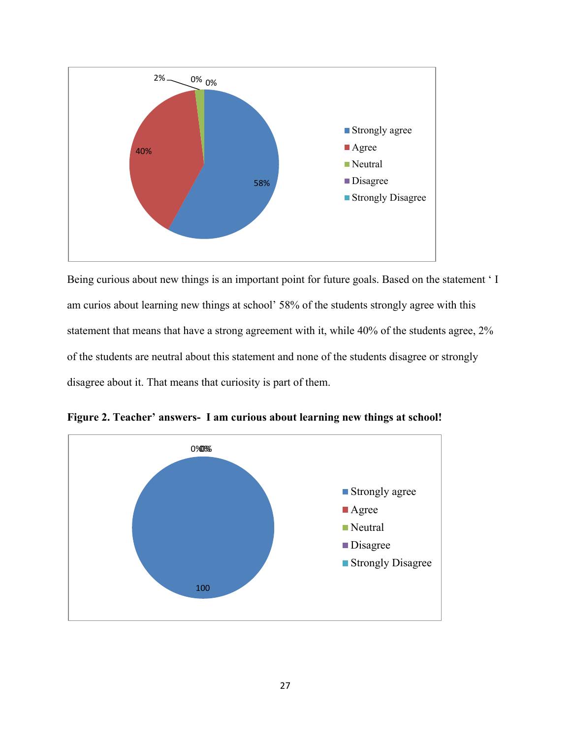

Being curious about new things is an important point for future goals. Based on the statement ' I am curios about learning new things at school' 58% of the students strongly agree with this statement that means that have a strong agreement with it, while 40% of the students agree, 2% of the students are neutral about this statement and none of the students disagree or strongly disagree about it. That means that curiosity is part of them.



**Figure 2. Teacher' answers- I am curious about learning new things at school!**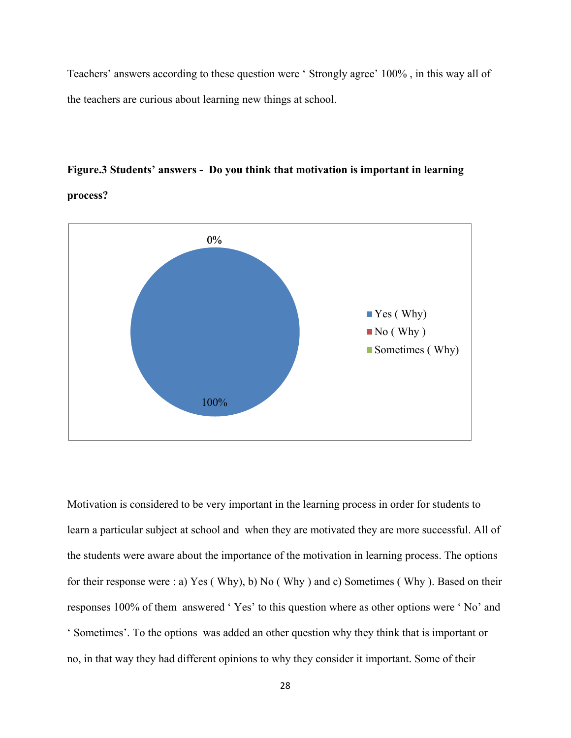Teachers' answers according to these question were ' Strongly agree' 100% , in this way all of the teachers are curious about learning new things at school.

## **Figure.3 Students' answers - Do you think that motivation is important in learning**

**process?** 



Motivation is considered to be very important in the learning process in order for students to learn a particular subject at school and when they are motivated they are more successful. All of the students were aware about the importance of the motivation in learning process. The options for their response were : a) Yes ( Why), b) No ( Why ) and c) Sometimes ( Why ). Based on their responses 100% of them answered ' Yes' to this question where as other options were ' No' and ' Sometimes'. To the options was added an other question why they think that is important or no, in that way they had different opinions to why they consider it important. Some of their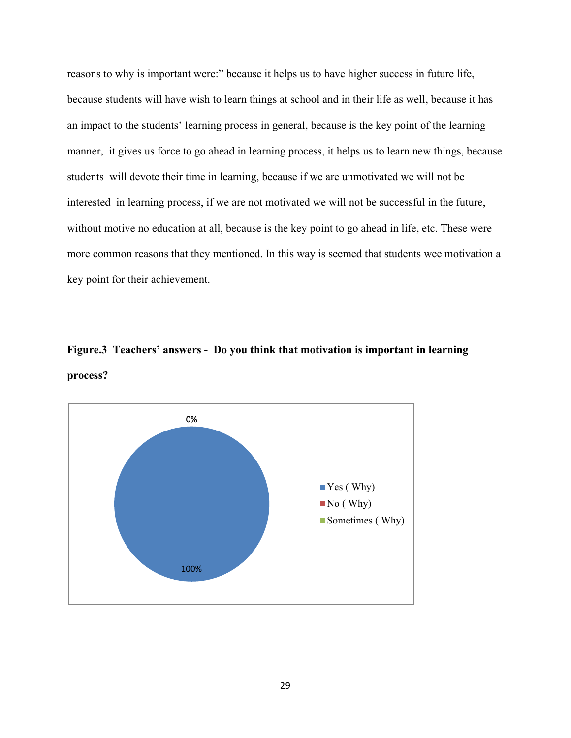reasons to why is important were:" because it helps us to have higher success in future life, because students will have wish to learn things at school and in their life as well, because it has an impact to the students' learning process in general, because is the key point of the learning manner, it gives us force to go ahead in learning process, it helps us to learn new things, because students will devote their time in learning, because if we are unmotivated we will not be interested in learning process, if we are not motivated we will not be successful in the future, without motive no education at all, because is the key point to go ahead in life, etc. These were more common reasons that they mentioned. In this way is seemed that students wee motivation a key point for their achievement.

**Figure.3 Teachers' answers - Do you think that motivation is important in learning process?** 

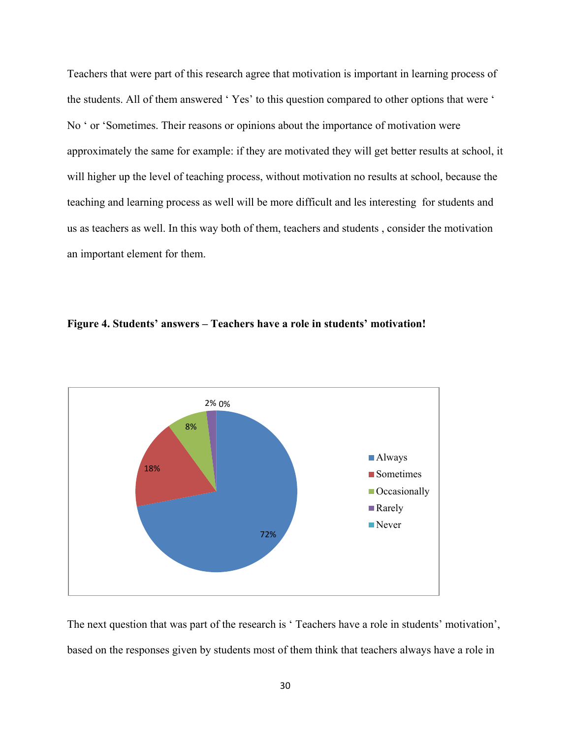Teachers that were part of this research agree that motivation is important in learning process of the students. All of them answered ' Yes' to this question compared to other options that were ' No ' or 'Sometimes. Their reasons or opinions about the importance of motivation were approximately the same for example: if they are motivated they will get better results at school, it will higher up the level of teaching process, without motivation no results at school, because the teaching and learning process as well will be more difficult and les interesting for students and us as teachers as well. In this way both of them, teachers and students , consider the motivation an important element for them.





The next question that was part of the research is ' Teachers have a role in students' motivation', based on the responses given by students most of them think that teachers always have a role in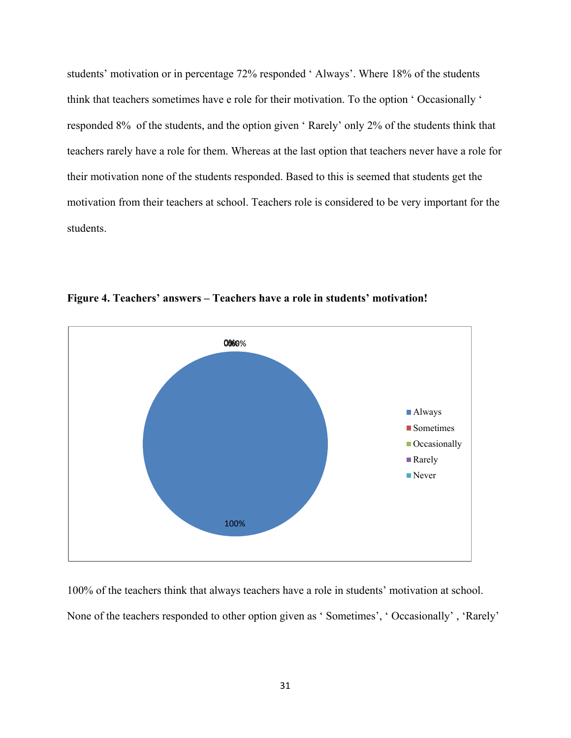students' motivation or in percentage 72% responded ' Always'. Where 18% of the students think that teachers sometimes have e role for their motivation. To the option ' Occasionally ' responded 8% of the students, and the option given ' Rarely' only 2% of the students think that teachers rarely have a role for them. Whereas at the last option that teachers never have a role for their motivation none of the students responded. Based to this is seemed that students get the motivation from their teachers at school. Teachers role is considered to be very important for the students.



**Figure 4. Teachers' answers – Teachers have a role in students' motivation!**

100% of the teachers think that always teachers have a role in students' motivation at school. None of the teachers responded to other option given as ' Sometimes', ' Occasionally' , 'Rarely'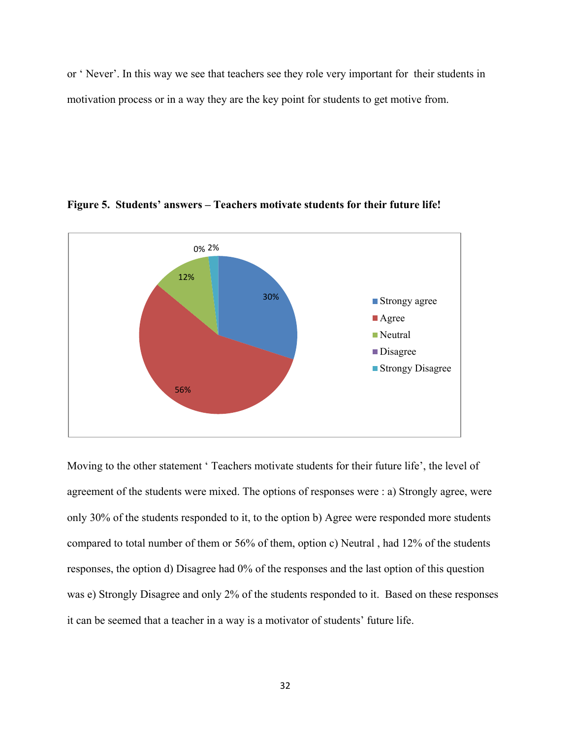or ' Never'. In this way we see that teachers see they role very important for their students in motivation process or in a way they are the key point for students to get motive from.



#### **Figure 5. Students' answers – Teachers motivate students for their future life!**

Moving to the other statement ' Teachers motivate students for their future life', the level of agreement of the students were mixed. The options of responses were : a) Strongly agree, were only 30% of the students responded to it, to the option b) Agree were responded more students compared to total number of them or 56% of them, option c) Neutral , had 12% of the students responses, the option d) Disagree had 0% of the responses and the last option of this question was e) Strongly Disagree and only 2% of the students responded to it. Based on these responses it can be seemed that a teacher in a way is a motivator of students' future life.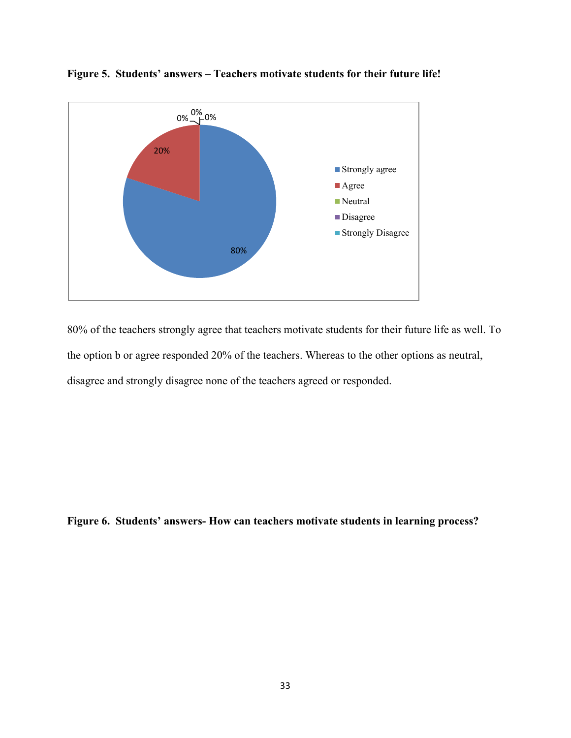

**Figure 5. Students' answers – Teachers motivate students for their future life!**

80% of the teachers strongly agree that teachers motivate students for their future life as well. To the option b or agree responded 20% of the teachers. Whereas to the other options as neutral, disagree and strongly disagree none of the teachers agreed or responded.

**Figure 6. Students' answers- How can teachers motivate students in learning process?**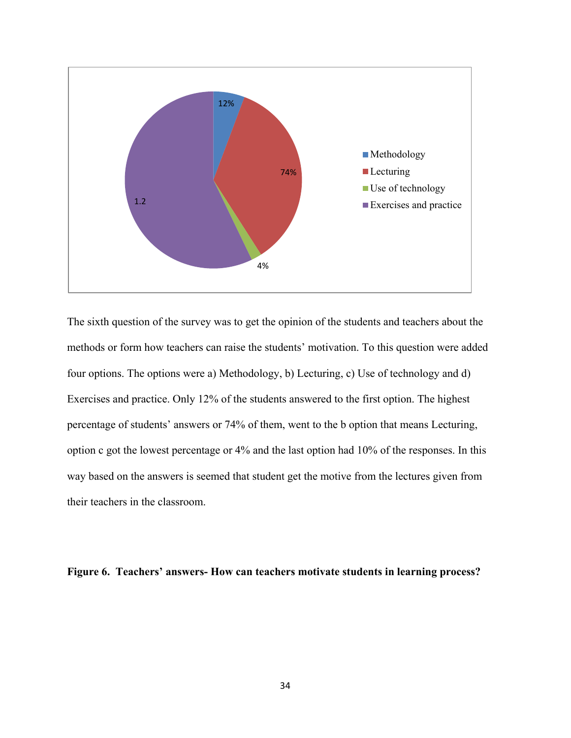

The sixth question of the survey was to get the opinion of the students and teachers about the methods or form how teachers can raise the students' motivation. To this question were added four options. The options were a) Methodology, b) Lecturing, c) Use of technology and d) Exercises and practice. Only 12% of the students answered to the first option. The highest percentage of students' answers or 74% of them, went to the b option that means Lecturing, option c got the lowest percentage or 4% and the last option had 10% of the responses. In this way based on the answers is seemed that student get the motive from the lectures given from their teachers in the classroom.

#### **Figure 6. Teachers' answers- How can teachers motivate students in learning process?**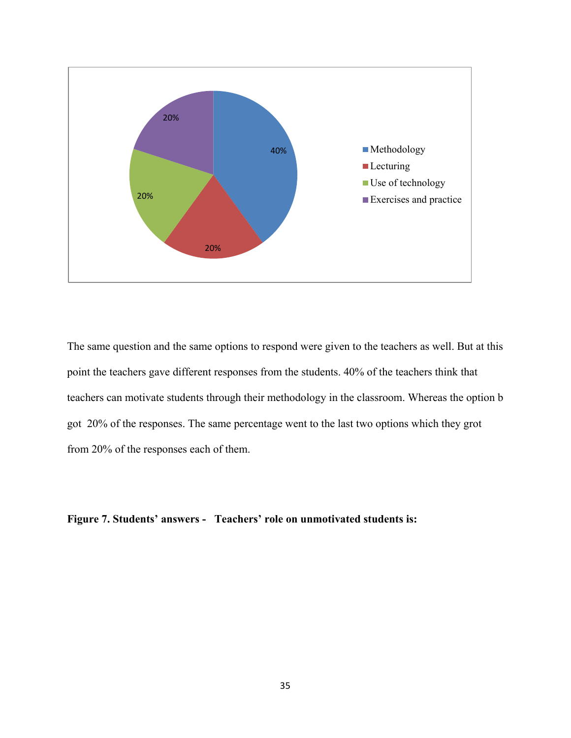

The same question and the same options to respond were given to the teachers as well. But at this point the teachers gave different responses from the students. 40% of the teachers think that teachers can motivate students through their methodology in the classroom. Whereas the option b got 20% of the responses. The same percentage went to the last two options which they grot from 20% of the responses each of them.

**Figure 7. Students' answers - Teachers' role on unmotivated students is:**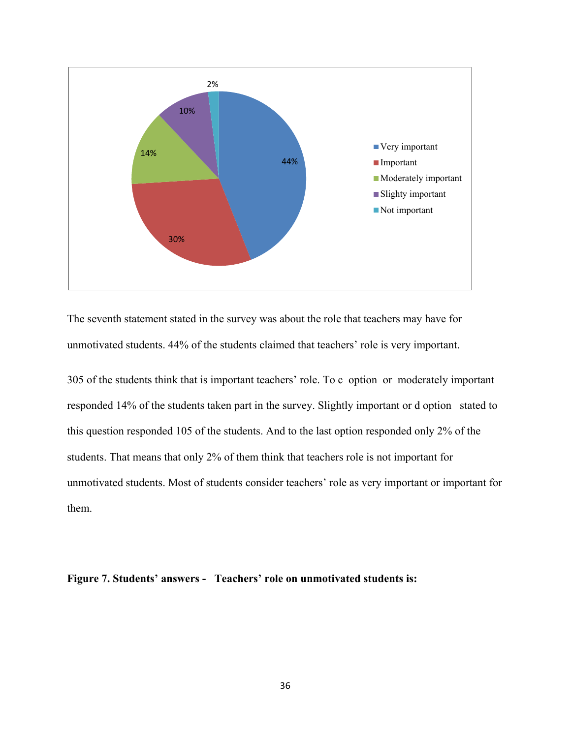

The seventh statement stated in the survey was about the role that teachers may have for unmotivated students. 44% of the students claimed that teachers' role is very important.

305 of the students think that is important teachers' role. To c option or moderately important responded 14% of the students taken part in the survey. Slightly important or d option stated to this question responded 105 of the students. And to the last option responded only 2% of the students. That means that only 2% of them think that teachers role is not important for unmotivated students. Most of students consider teachers' role as very important or important for them.

**Figure 7. Students' answers - Teachers' role on unmotivated students is:**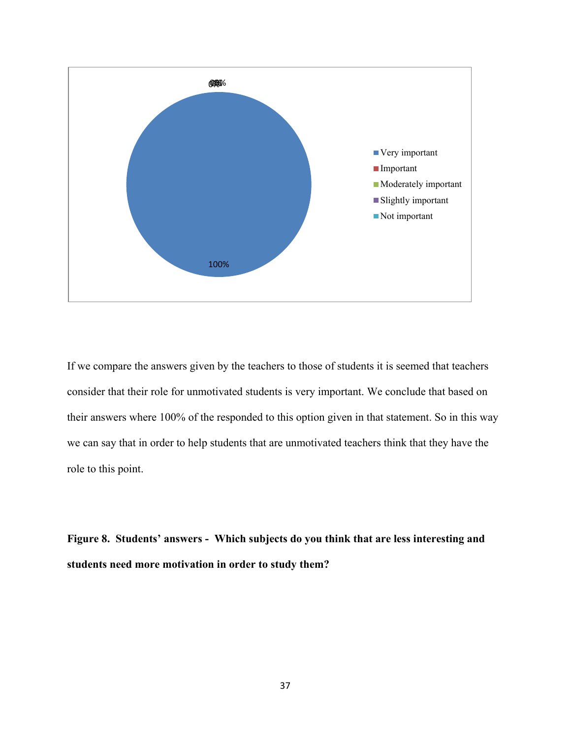

If we compare the answers given by the teachers to those of students it is seemed that teachers consider that their role for unmotivated students is very important. We conclude that based on their answers where 100% of the responded to this option given in that statement. So in this way we can say that in order to help students that are unmotivated teachers think that they have the role to this point.

**Figure 8. Students' answers - Which subjects do you think that are less interesting and students need more motivation in order to study them?**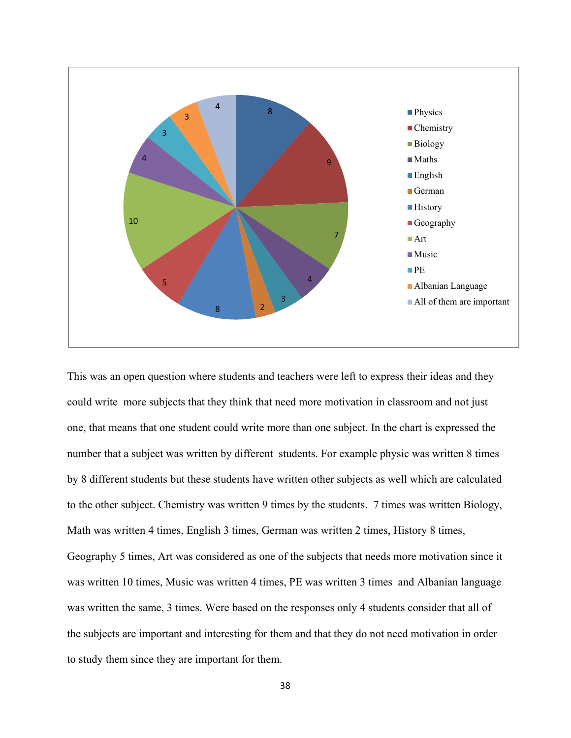

This was an open question where students and teachers were left to express their ideas and they could write more subjects that they think that need more motivation in classroom and not just one, that means that one student could write more than one subject. In the chart is expressed the number that a subject was written by different students. For example physic was written 8 times by 8 different students but these students have written other subjects as well which are calculated to the other subject. Chemistry was written 9 times by the students. 7 times was written Biology, Math was written 4 times, English 3 times, German was written 2 times, History 8 times, Geography 5 times, Art was considered as one of the subjects that needs more motivation since it was written 10 times, Music was written 4 times, PE was written 3 times and Albanian language was written the same, 3 times. Were based on the responses only 4 students consider that all of the subjects are important and interesting for them and that they do not need motivation in order to study them since they are important for them.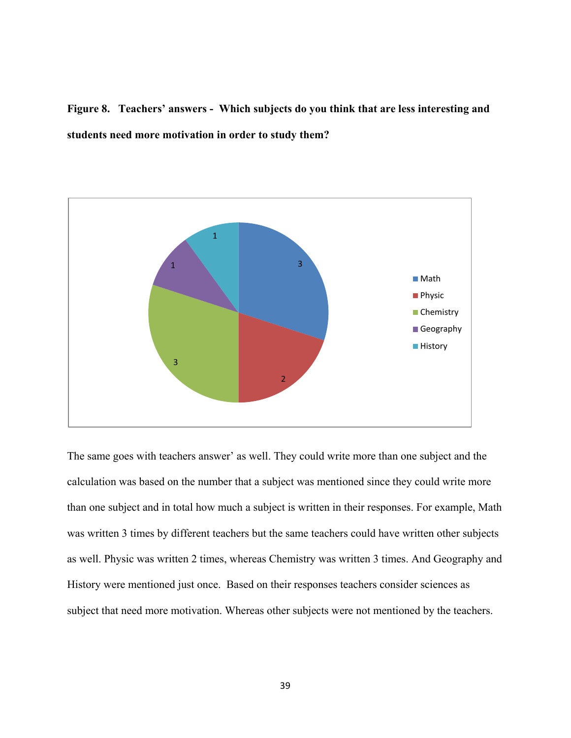**Figure 8. Teachers' answers - Which subjects do you think that are less interesting and students need more motivation in order to study them?**



The same goes with teachers answer' as well. They could write more than one subject and the calculation was based on the number that a subject was mentioned since they could write more than one subject and in total how much a subject is written in their responses. For example, Math was written 3 times by different teachers but the same teachers could have written other subjects as well. Physic was written 2 times, whereas Chemistry was written 3 times. And Geography and History were mentioned just once. Based on their responses teachers consider sciences as subject that need more motivation. Whereas other subjects were not mentioned by the teachers.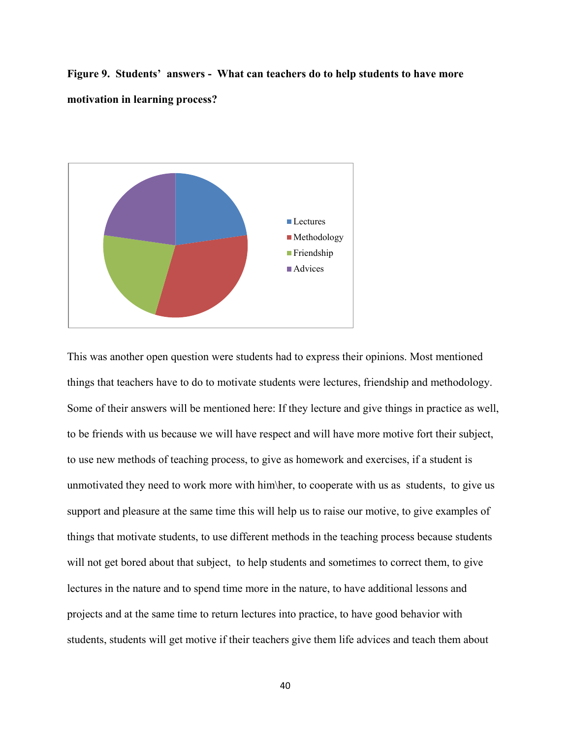**Figure 9. Students' answers - What can teachers do to help students to have more motivation in learning process?** 



This was another open question were students had to express their opinions. Most mentioned things that teachers have to do to motivate students were lectures, friendship and methodology. Some of their answers will be mentioned here: If they lecture and give things in practice as well, to be friends with us because we will have respect and will have more motive fort their subject, to use new methods of teaching process, to give as homework and exercises, if a student is unmotivated they need to work more with him\her, to cooperate with us as students, to give us support and pleasure at the same time this will help us to raise our motive, to give examples of things that motivate students, to use different methods in the teaching process because students will not get bored about that subject, to help students and sometimes to correct them, to give lectures in the nature and to spend time more in the nature, to have additional lessons and projects and at the same time to return lectures into practice, to have good behavior with students, students will get motive if their teachers give them life advices and teach them about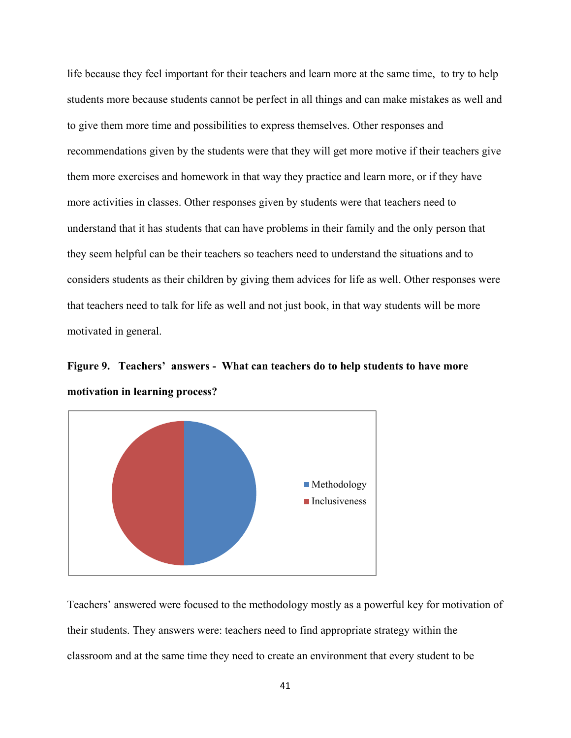life because they feel important for their teachers and learn more at the same time, to try to help students more because students cannot be perfect in all things and can make mistakes as well and to give them more time and possibilities to express themselves. Other responses and recommendations given by the students were that they will get more motive if their teachers give them more exercises and homework in that way they practice and learn more, or if they have more activities in classes. Other responses given by students were that teachers need to understand that it has students that can have problems in their family and the only person that they seem helpful can be their teachers so teachers need to understand the situations and to considers students as their children by giving them advices for life as well. Other responses were that teachers need to talk for life as well and not just book, in that way students will be more motivated in general.

**Figure 9. Teachers' answers - What can teachers do to help students to have more motivation in learning process?**



Teachers' answered were focused to the methodology mostly as a powerful key for motivation of their students. They answers were: teachers need to find appropriate strategy within the classroom and at the same time they need to create an environment that every student to be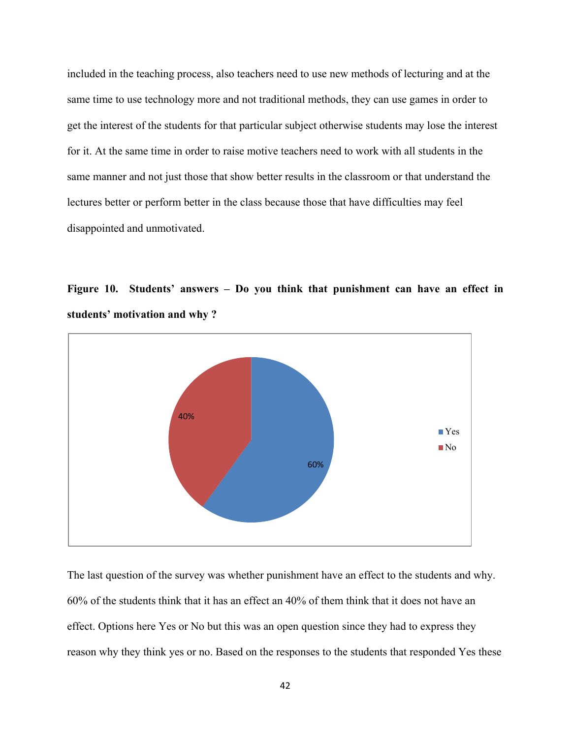included in the teaching process, also teachers need to use new methods of lecturing and at the same time to use technology more and not traditional methods, they can use games in order to get the interest of the students for that particular subject otherwise students may lose the interest for it. At the same time in order to raise motive teachers need to work with all students in the same manner and not just those that show better results in the classroom or that understand the lectures better or perform better in the class because those that have difficulties may feel disappointed and unmotivated.





The last question of the survey was whether punishment have an effect to the students and why. 60% of the students think that it has an effect an 40% of them think that it does not have an effect. Options here Yes or No but this was an open question since they had to express they reason why they think yes or no. Based on the responses to the students that responded Yes these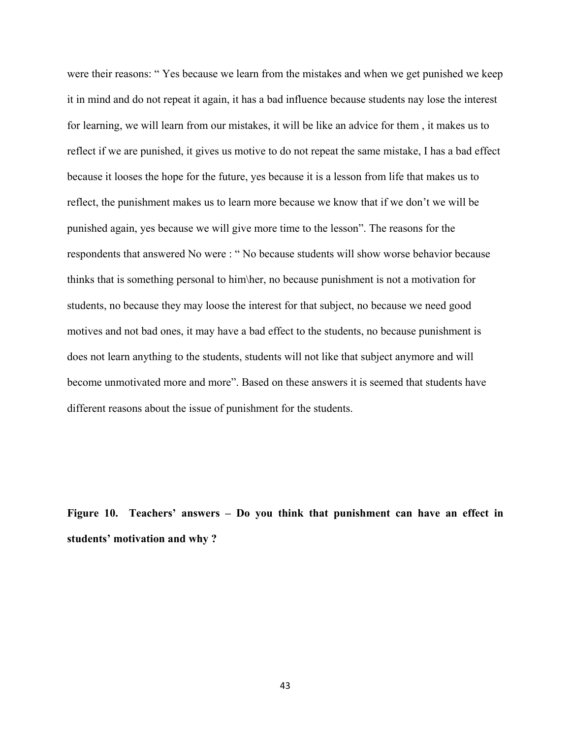were their reasons: " Yes because we learn from the mistakes and when we get punished we keep it in mind and do not repeat it again, it has a bad influence because students nay lose the interest for learning, we will learn from our mistakes, it will be like an advice for them , it makes us to reflect if we are punished, it gives us motive to do not repeat the same mistake, I has a bad effect because it looses the hope for the future, yes because it is a lesson from life that makes us to reflect, the punishment makes us to learn more because we know that if we don't we will be punished again, yes because we will give more time to the lesson". The reasons for the respondents that answered No were : " No because students will show worse behavior because thinks that is something personal to him\her, no because punishment is not a motivation for students, no because they may loose the interest for that subject, no because we need good motives and not bad ones, it may have a bad effect to the students, no because punishment is does not learn anything to the students, students will not like that subject anymore and will become unmotivated more and more". Based on these answers it is seemed that students have different reasons about the issue of punishment for the students.

**Figure 10. Teachers' answers – Do you think that punishment can have an effect in students' motivation and why ?**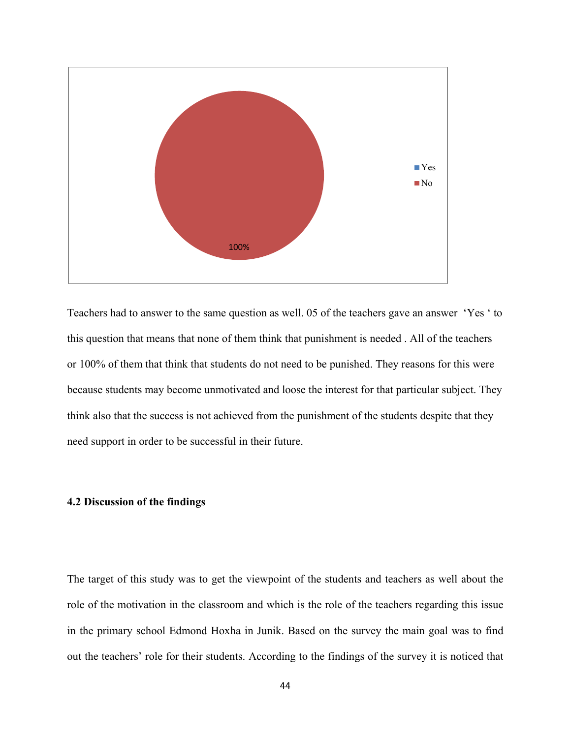

Teachers had to answer to the same question as well. 05 of the teachers gave an answer 'Yes ' to this question that means that none of them think that punishment is needed . All of the teachers or 100% of them that think that students do not need to be punished. They reasons for this were because students may become unmotivated and loose the interest for that particular subject. They think also that the success is not achieved from the punishment of the students despite that they need support in order to be successful in their future.

#### **4.2 Discussion of the findings**

The target of this study was to get the viewpoint of the students and teachers as well about the role of the motivation in the classroom and which is the role of the teachers regarding this issue in the primary school Edmond Hoxha in Junik. Based on the survey the main goal was to find out the teachers' role for their students. According to the findings of the survey it is noticed that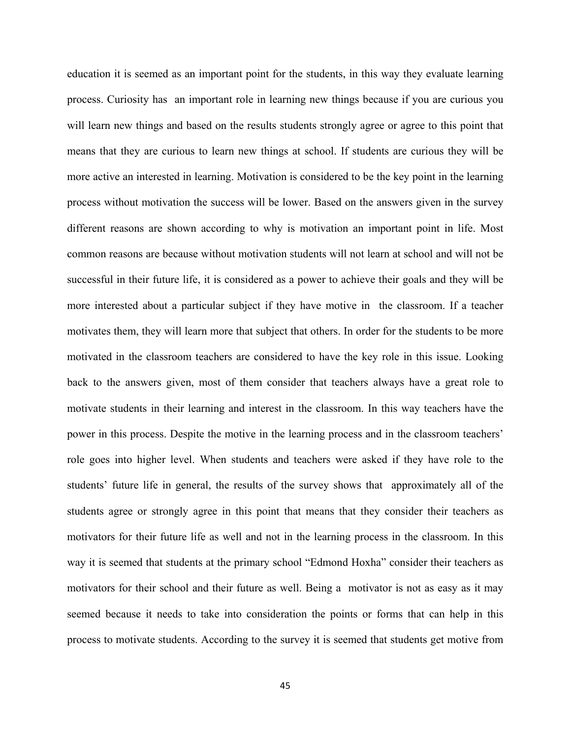education it is seemed as an important point for the students, in this way they evaluate learning process. Curiosity has an important role in learning new things because if you are curious you will learn new things and based on the results students strongly agree or agree to this point that means that they are curious to learn new things at school. If students are curious they will be more active an interested in learning. Motivation is considered to be the key point in the learning process without motivation the success will be lower. Based on the answers given in the survey different reasons are shown according to why is motivation an important point in life. Most common reasons are because without motivation students will not learn at school and will not be successful in their future life, it is considered as a power to achieve their goals and they will be more interested about a particular subject if they have motive in the classroom. If a teacher motivates them, they will learn more that subject that others. In order for the students to be more motivated in the classroom teachers are considered to have the key role in this issue. Looking back to the answers given, most of them consider that teachers always have a great role to motivate students in their learning and interest in the classroom. In this way teachers have the power in this process. Despite the motive in the learning process and in the classroom teachers' role goes into higher level. When students and teachers were asked if they have role to the students' future life in general, the results of the survey shows that approximately all of the students agree or strongly agree in this point that means that they consider their teachers as motivators for their future life as well and not in the learning process in the classroom. In this way it is seemed that students at the primary school "Edmond Hoxha" consider their teachers as motivators for their school and their future as well. Being a motivator is not as easy as it may seemed because it needs to take into consideration the points or forms that can help in this process to motivate students. According to the survey it is seemed that students get motive from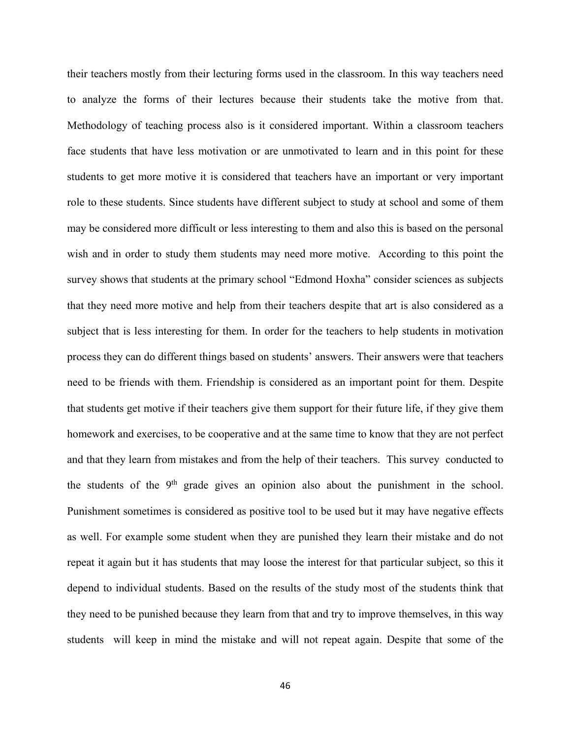their teachers mostly from their lecturing forms used in the classroom. In this way teachers need to analyze the forms of their lectures because their students take the motive from that. Methodology of teaching process also is it considered important. Within a classroom teachers face students that have less motivation or are unmotivated to learn and in this point for these students to get more motive it is considered that teachers have an important or very important role to these students. Since students have different subject to study at school and some of them may be considered more difficult or less interesting to them and also this is based on the personal wish and in order to study them students may need more motive. According to this point the survey shows that students at the primary school "Edmond Hoxha" consider sciences as subjects that they need more motive and help from their teachers despite that art is also considered as a subject that is less interesting for them. In order for the teachers to help students in motivation process they can do different things based on students' answers. Their answers were that teachers need to be friends with them. Friendship is considered as an important point for them. Despite that students get motive if their teachers give them support for their future life, if they give them homework and exercises, to be cooperative and at the same time to know that they are not perfect and that they learn from mistakes and from the help of their teachers. This survey conducted to the students of the  $9<sup>th</sup>$  grade gives an opinion also about the punishment in the school. Punishment sometimes is considered as positive tool to be used but it may have negative effects as well. For example some student when they are punished they learn their mistake and do not repeat it again but it has students that may loose the interest for that particular subject, so this it depend to individual students. Based on the results of the study most of the students think that they need to be punished because they learn from that and try to improve themselves, in this way students will keep in mind the mistake and will not repeat again. Despite that some of the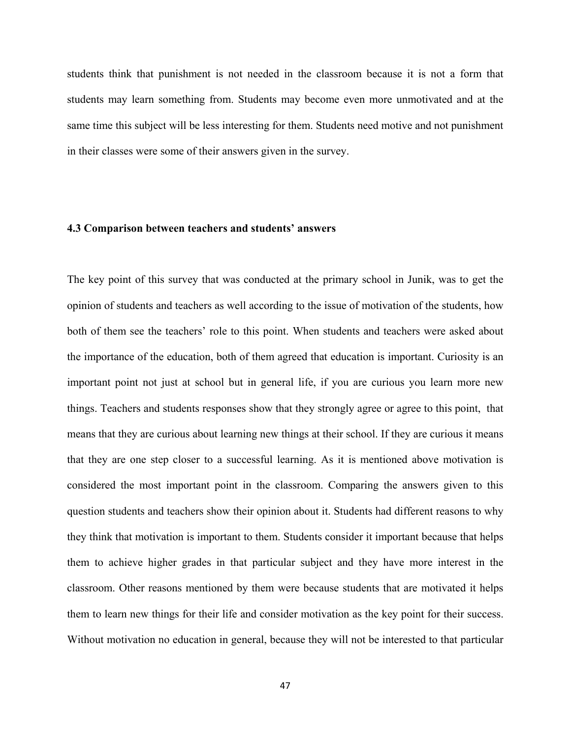students think that punishment is not needed in the classroom because it is not a form that students may learn something from. Students may become even more unmotivated and at the same time this subject will be less interesting for them. Students need motive and not punishment in their classes were some of their answers given in the survey.

#### **4.3 Comparison between teachers and students' answers**

The key point of this survey that was conducted at the primary school in Junik, was to get the opinion of students and teachers as well according to the issue of motivation of the students, how both of them see the teachers' role to this point. When students and teachers were asked about the importance of the education, both of them agreed that education is important. Curiosity is an important point not just at school but in general life, if you are curious you learn more new things. Teachers and students responses show that they strongly agree or agree to this point, that means that they are curious about learning new things at their school. If they are curious it means that they are one step closer to a successful learning. As it is mentioned above motivation is considered the most important point in the classroom. Comparing the answers given to this question students and teachers show their opinion about it. Students had different reasons to why they think that motivation is important to them. Students consider it important because that helps them to achieve higher grades in that particular subject and they have more interest in the classroom. Other reasons mentioned by them were because students that are motivated it helps them to learn new things for their life and consider motivation as the key point for their success. Without motivation no education in general, because they will not be interested to that particular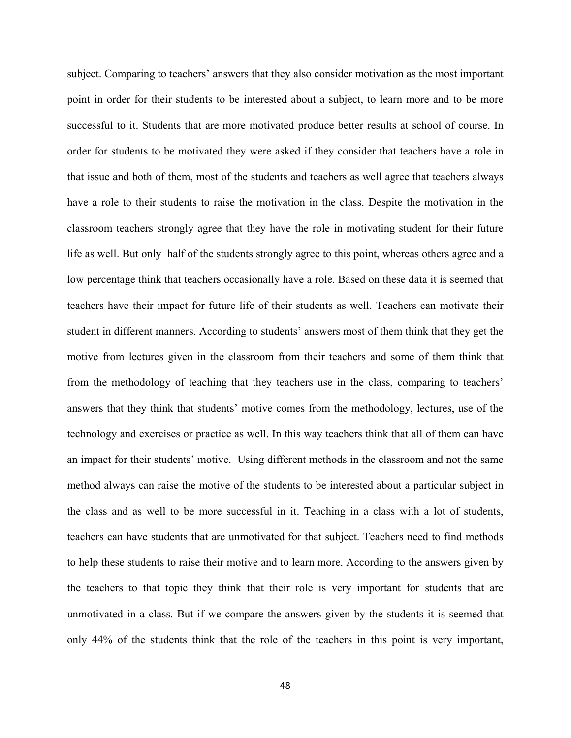subject. Comparing to teachers' answers that they also consider motivation as the most important point in order for their students to be interested about a subject, to learn more and to be more successful to it. Students that are more motivated produce better results at school of course. In order for students to be motivated they were asked if they consider that teachers have a role in that issue and both of them, most of the students and teachers as well agree that teachers always have a role to their students to raise the motivation in the class. Despite the motivation in the classroom teachers strongly agree that they have the role in motivating student for their future life as well. But only half of the students strongly agree to this point, whereas others agree and a low percentage think that teachers occasionally have a role. Based on these data it is seemed that teachers have their impact for future life of their students as well. Teachers can motivate their student in different manners. According to students' answers most of them think that they get the motive from lectures given in the classroom from their teachers and some of them think that from the methodology of teaching that they teachers use in the class, comparing to teachers' answers that they think that students' motive comes from the methodology, lectures, use of the technology and exercises or practice as well. In this way teachers think that all of them can have an impact for their students' motive. Using different methods in the classroom and not the same method always can raise the motive of the students to be interested about a particular subject in the class and as well to be more successful in it. Teaching in a class with a lot of students, teachers can have students that are unmotivated for that subject. Teachers need to find methods to help these students to raise their motive and to learn more. According to the answers given by the teachers to that topic they think that their role is very important for students that are unmotivated in a class. But if we compare the answers given by the students it is seemed that only 44% of the students think that the role of the teachers in this point is very important,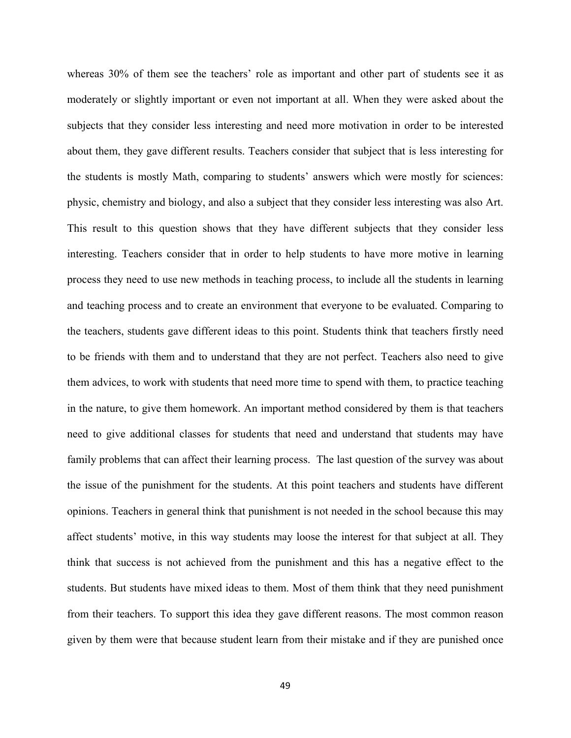whereas 30% of them see the teachers' role as important and other part of students see it as moderately or slightly important or even not important at all. When they were asked about the subjects that they consider less interesting and need more motivation in order to be interested about them, they gave different results. Teachers consider that subject that is less interesting for the students is mostly Math, comparing to students' answers which were mostly for sciences: physic, chemistry and biology, and also a subject that they consider less interesting was also Art. This result to this question shows that they have different subjects that they consider less interesting. Teachers consider that in order to help students to have more motive in learning process they need to use new methods in teaching process, to include all the students in learning and teaching process and to create an environment that everyone to be evaluated. Comparing to the teachers, students gave different ideas to this point. Students think that teachers firstly need to be friends with them and to understand that they are not perfect. Teachers also need to give them advices, to work with students that need more time to spend with them, to practice teaching in the nature, to give them homework. An important method considered by them is that teachers need to give additional classes for students that need and understand that students may have family problems that can affect their learning process. The last question of the survey was about the issue of the punishment for the students. At this point teachers and students have different opinions. Teachers in general think that punishment is not needed in the school because this may affect students' motive, in this way students may loose the interest for that subject at all. They think that success is not achieved from the punishment and this has a negative effect to the students. But students have mixed ideas to them. Most of them think that they need punishment from their teachers. To support this idea they gave different reasons. The most common reason given by them were that because student learn from their mistake and if they are punished once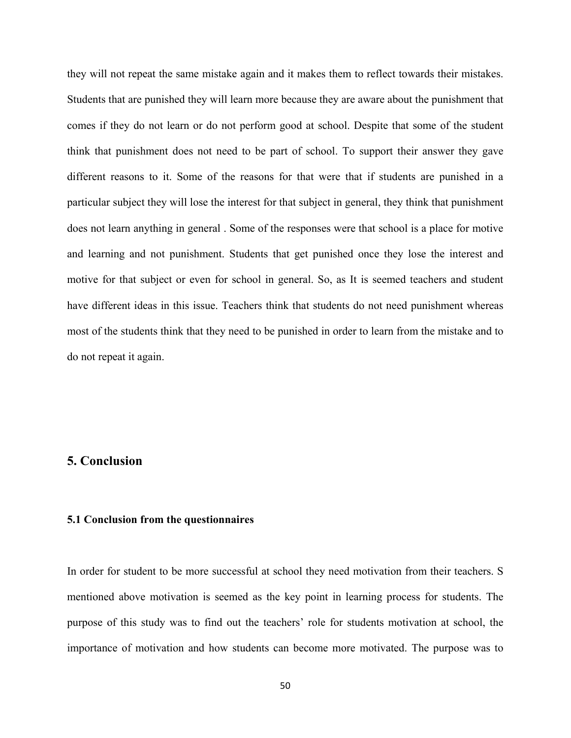they will not repeat the same mistake again and it makes them to reflect towards their mistakes. Students that are punished they will learn more because they are aware about the punishment that comes if they do not learn or do not perform good at school. Despite that some of the student think that punishment does not need to be part of school. To support their answer they gave different reasons to it. Some of the reasons for that were that if students are punished in a particular subject they will lose the interest for that subject in general, they think that punishment does not learn anything in general . Some of the responses were that school is a place for motive and learning and not punishment. Students that get punished once they lose the interest and motive for that subject or even for school in general. So, as It is seemed teachers and student have different ideas in this issue. Teachers think that students do not need punishment whereas most of the students think that they need to be punished in order to learn from the mistake and to do not repeat it again.

### **5. Conclusion**

#### **5.1 Conclusion from the questionnaires**

In order for student to be more successful at school they need motivation from their teachers. S mentioned above motivation is seemed as the key point in learning process for students. The purpose of this study was to find out the teachers' role for students motivation at school, the importance of motivation and how students can become more motivated. The purpose was to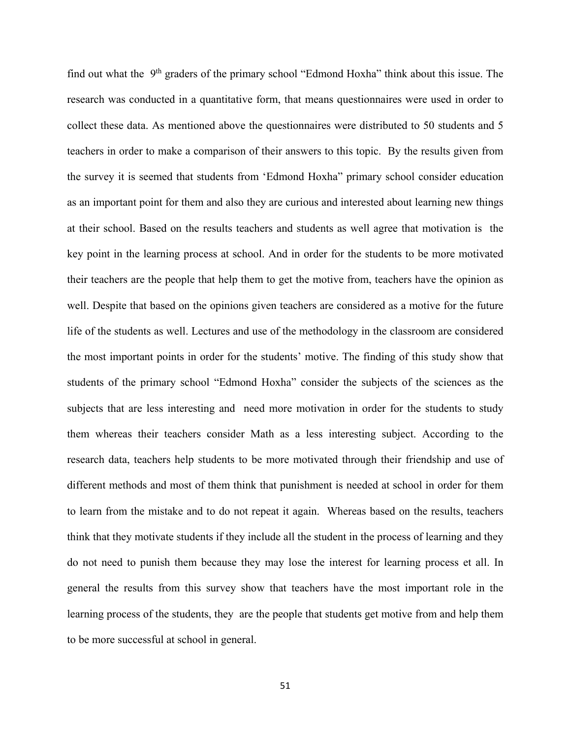find out what the 9<sup>th</sup> graders of the primary school "Edmond Hoxha" think about this issue. The research was conducted in a quantitative form, that means questionnaires were used in order to collect these data. As mentioned above the questionnaires were distributed to 50 students and 5 teachers in order to make a comparison of their answers to this topic. By the results given from the survey it is seemed that students from 'Edmond Hoxha" primary school consider education as an important point for them and also they are curious and interested about learning new things at their school. Based on the results teachers and students as well agree that motivation is the key point in the learning process at school. And in order for the students to be more motivated their teachers are the people that help them to get the motive from, teachers have the opinion as well. Despite that based on the opinions given teachers are considered as a motive for the future life of the students as well. Lectures and use of the methodology in the classroom are considered the most important points in order for the students' motive. The finding of this study show that students of the primary school "Edmond Hoxha" consider the subjects of the sciences as the subjects that are less interesting and need more motivation in order for the students to study them whereas their teachers consider Math as a less interesting subject. According to the research data, teachers help students to be more motivated through their friendship and use of different methods and most of them think that punishment is needed at school in order for them to learn from the mistake and to do not repeat it again. Whereas based on the results, teachers think that they motivate students if they include all the student in the process of learning and they do not need to punish them because they may lose the interest for learning process et all. In general the results from this survey show that teachers have the most important role in the learning process of the students, they are the people that students get motive from and help them to be more successful at school in general.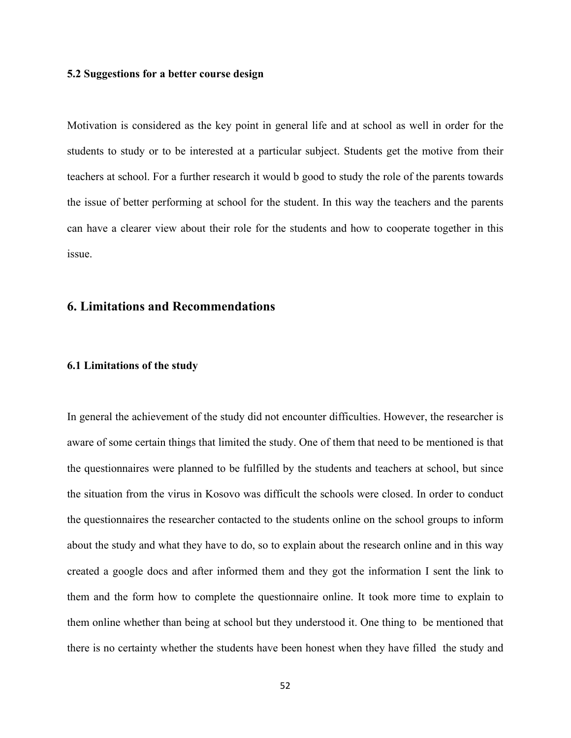#### **5.2 Suggestions for a better course design**

Motivation is considered as the key point in general life and at school as well in order for the students to study or to be interested at a particular subject. Students get the motive from their teachers at school. For a further research it would b good to study the role of the parents towards the issue of better performing at school for the student. In this way the teachers and the parents can have a clearer view about their role for the students and how to cooperate together in this issue.

## **6. Limitations and Recommendations**

#### **6.1 Limitations of the study**

In general the achievement of the study did not encounter difficulties. However, the researcher is aware of some certain things that limited the study. One of them that need to be mentioned is that the questionnaires were planned to be fulfilled by the students and teachers at school, but since the situation from the virus in Kosovo was difficult the schools were closed. In order to conduct the questionnaires the researcher contacted to the students online on the school groups to inform about the study and what they have to do, so to explain about the research online and in this way created a google docs and after informed them and they got the information I sent the link to them and the form how to complete the questionnaire online. It took more time to explain to them online whether than being at school but they understood it. One thing to be mentioned that there is no certainty whether the students have been honest when they have filled the study and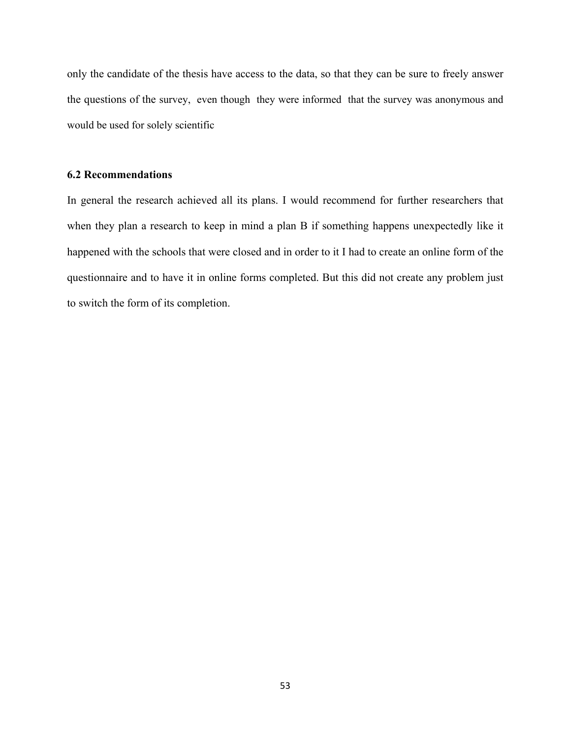only the candidate of the thesis have access to the data, so that they can be sure to freely answer the questions of the survey, even though they were informed that the survey was anonymous and would be used for solely scientific

### **6.2 Recommendations**

In general the research achieved all its plans. I would recommend for further researchers that when they plan a research to keep in mind a plan B if something happens unexpectedly like it happened with the schools that were closed and in order to it I had to create an online form of the questionnaire and to have it in online forms completed. But this did not create any problem just to switch the form of its completion.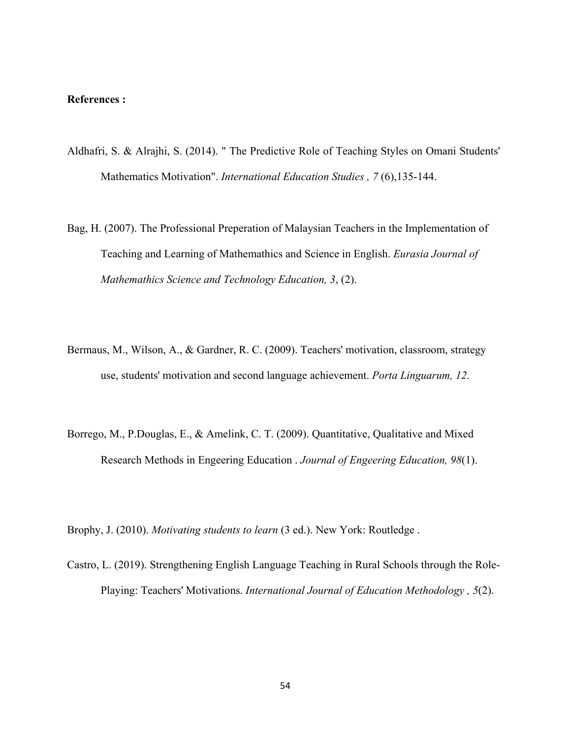### **References :**

- Aldhafri, S. & Alrajhi, S. (2014). " The Predictive Role of Teaching Styles on Omani Students' Mathematics Motivation". *International Education Studies , 7* (6),135-144.
- Bag, H. (2007). The Professional Preperation of Malaysian Teachers in the Implementation of Teaching and Learning of Mathemathics and Science in English. *Eurasia Journal of Mathemathics Science and Technology Education, 3*, (2).
- Bermaus, M., Wilson, A., & Gardner, R. C. (2009). Teachers' motivation, classroom, strategy use, students' motivation and second language achievement. *Porta Linguarum, 12*.
- Borrego, M., P.Douglas, E., & Amelink, C. T. (2009). Quantitative, Qualitative and Mixed Research Methods in Engeering Education . *Journal of Engeering Education, 98*(1).

Brophy, J. (2010). *Motivating students to learn* (3 ed.). New York: Routledge .

Castro, L. (2019). Strengthening English Language Teaching in Rural Schools through the Role-Playing: Teachers' Motivations. *International Journal of Education Methodology , 5*(2).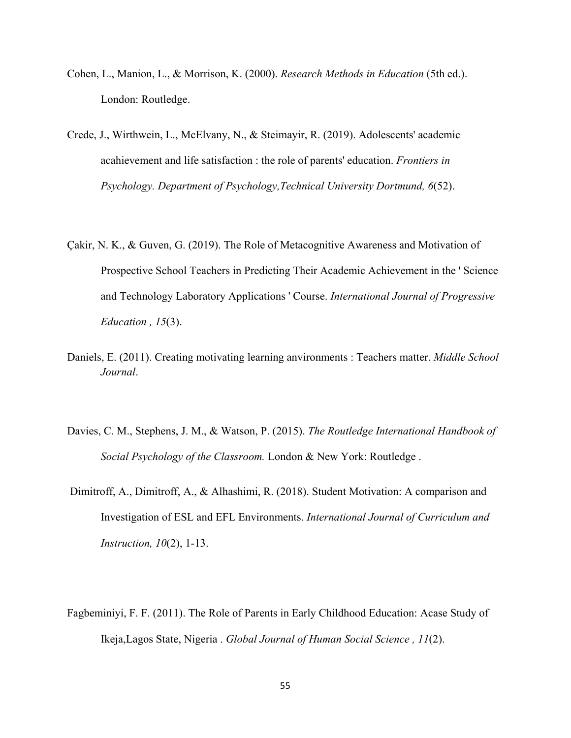- Cohen, L., Manion, L., & Morrison, K. (2000). *Research Methods in Education* (5th ed.). London: Routledge.
- Crede, J., Wirthwein, L., McElvany, N., & Steimayir, R. (2019). Adolescents' academic acahievement and life satisfaction : the role of parents' education. *Frontiers in Psychology. Department of Psychology,Technical University Dortmund, 6*(52).
- Çakir, N. K., & Guven, G. (2019). The Role of Metacognitive Awareness and Motivation of Prospective School Teachers in Predicting Their Academic Achievement in the ' Science and Technology Laboratory Applications ' Course. *International Journal of Progressive Education , 15*(3).
- Daniels, E. (2011). Creating motivating learning anvironments : Teachers matter. *Middle School Journal*.
- Davies, C. M., Stephens, J. M., & Watson, P. (2015). *The Routledge International Handbook of Social Psychology of the Classroom.* London & New York: Routledge .
- Dimitroff, A., Dimitroff, A., & Alhashimi, R. (2018). Student Motivation: A comparison and Investigation of ESL and EFL Environments. *International Journal of Curriculum and Instruction, 10*(2), 1-13.
- Fagbeminiyi, F. F. (2011). The Role of Parents in Early Childhood Education: Acase Study of Ikeja,Lagos State, Nigeria . *Global Journal of Human Social Science , 11*(2).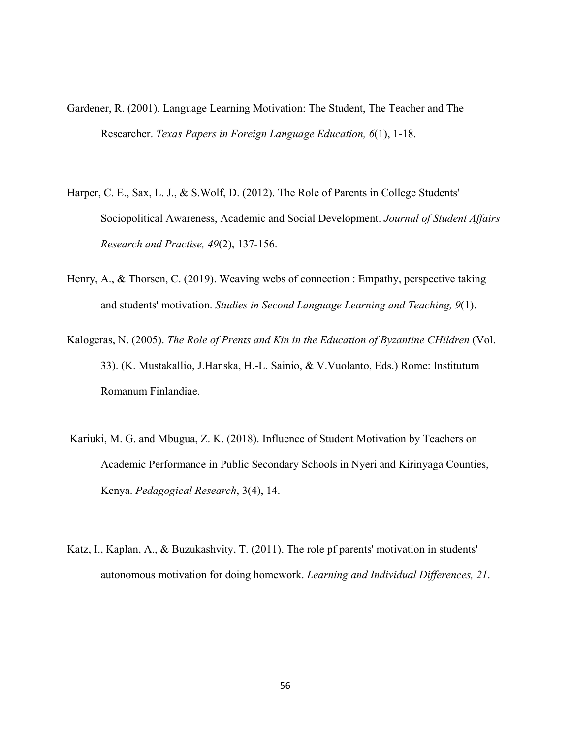- Gardener, R. (2001). Language Learning Motivation: The Student, The Teacher and The Researcher. *Texas Papers in Foreign Language Education, 6*(1), 1-18.
- Harper, C. E., Sax, L. J., & S. Wolf, D. (2012). The Role of Parents in College Students' Sociopolitical Awareness, Academic and Social Development. *Journal of Student Affairs Research and Practise, 49*(2), 137-156.
- Henry, A., & Thorsen, C. (2019). Weaving webs of connection : Empathy, perspective taking and students' motivation. *Studies in Second Language Learning and Teaching, 9*(1).
- Kalogeras, N. (2005). *The Role of Prents and Kin in the Education of Byzantine CHildren* (Vol. 33). (K. Mustakallio, J.Hanska, H.-L. Sainio, & V.Vuolanto, Eds.) Rome: Institutum Romanum Finlandiae.
- Kariuki, M. G. and Mbugua, Z. K. (2018). Influence of Student Motivation by Teachers on Academic Performance in Public Secondary Schools in Nyeri and Kirinyaga Counties, Kenya. *Pedagogical Research*, 3(4), 14.
- Katz, I., Kaplan, A., & Buzukashvity, T. (2011). The role pf parents' motivation in students' autonomous motivation for doing homework. *Learning and Individual Differences, 21*.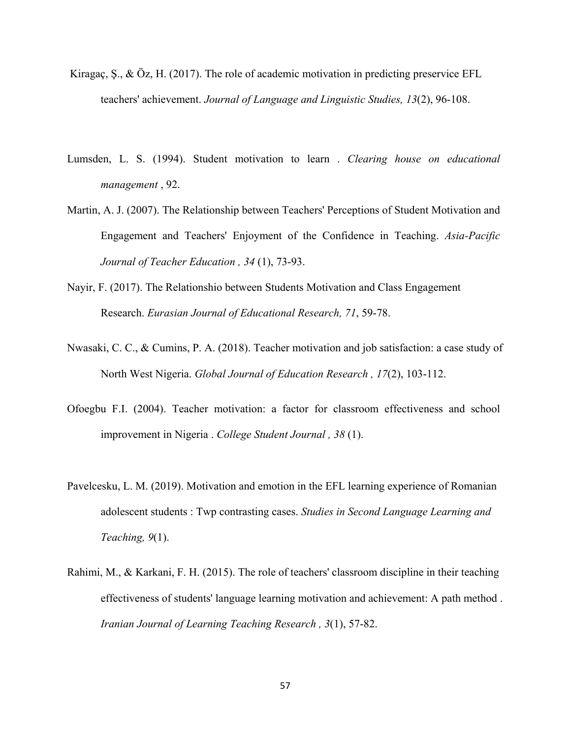- Kiragaç, S., & Öz, H. (2017). The role of academic motivation in predicting preservice EFL teachers' achievement. *Journal of Language and Linguistic Studies, 13*(2), 96-108.
- Lumsden, L. S. (1994). Student motivation to learn . *Clearing house on educational management* , 92.
- Martin, A. J. (2007). The Relationship between Teachers' Perceptions of Student Motivation and Engagement and Teachers' Enjoyment of the Confidence in Teaching. *Asia-Pacific Journal of Teacher Education , 34* (1), 73-93.
- Nayir, F. (2017). The Relationshio between Students Motivation and Class Engagement Research. *Eurasian Journal of Educational Research, 71*, 59-78.
- Nwasaki, C. C., & Cumins, P. A. (2018). Teacher motivation and job satisfaction: a case study of North West Nigeria. *Global Journal of Education Research , 17*(2), 103-112.
- Ofoegbu F.I. (2004). Teacher motivation: a factor for classroom effectiveness and school improvement in Nigeria . *College Student Journal , 38* (1).
- Pavelcesku, L. M. (2019). Motivation and emotion in the EFL learning experience of Romanian adolescent students : Twp contrasting cases. *Studies in Second Language Learning and Teaching, 9*(1).
- Rahimi, M., & Karkani, F. H. (2015). The role of teachers' classroom discipline in their teaching effectiveness of students' language learning motivation and achievement: A path method . *Iranian Journal of Learning Teaching Research , 3*(1), 57-82.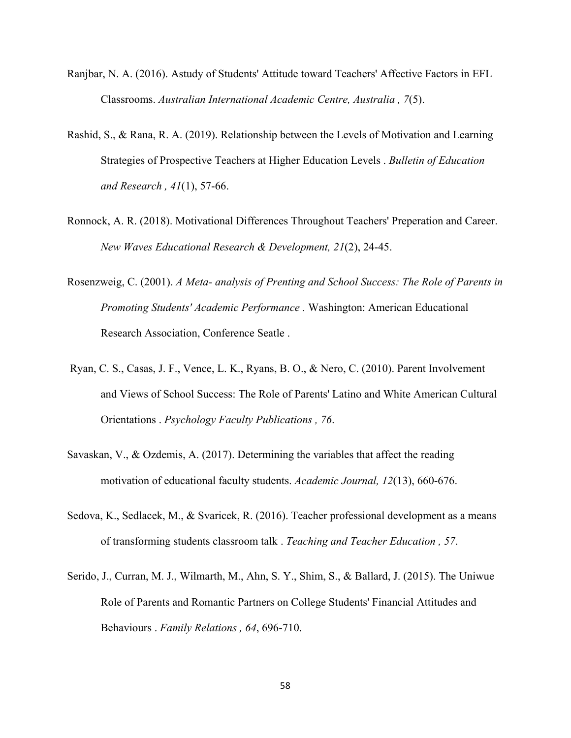- Ranjbar, N. A. (2016). Astudy of Students' Attitude toward Teachers' Affective Factors in EFL Classrooms. *Australian International Academic Centre, Australia , 7*(5).
- Rashid, S., & Rana, R. A. (2019). Relationship between the Levels of Motivation and Learning Strategies of Prospective Teachers at Higher Education Levels . *Bulletin of Education and Research , 41*(1), 57-66.
- Ronnock, A. R. (2018). Motivational Differences Throughout Teachers' Preperation and Career. *New Waves Educational Research & Development, 21*(2), 24-45.
- Rosenzweig, C. (2001). *A Meta- analysis of Prenting and School Success: The Role of Parents in Promoting Students' Academic Performance .* Washington: American Educational Research Association, Conference Seatle .
- Ryan, C. S., Casas, J. F., Vence, L. K., Ryans, B. O., & Nero, C. (2010). Parent Involvement and Views of School Success: The Role of Parents' Latino and White American Cultural Orientations . *Psychology Faculty Publications , 76*.
- Savaskan, V., & Ozdemis, A. (2017). Determining the variables that affect the reading motivation of educational faculty students. *Academic Journal, 12*(13), 660-676.
- Sedova, K., Sedlacek, M., & Svaricek, R. (2016). Teacher professional development as a means of transforming students classroom talk . *Teaching and Teacher Education , 57*.
- Serido, J., Curran, M. J., Wilmarth, M., Ahn, S. Y., Shim, S., & Ballard, J. (2015). The Uniwue Role of Parents and Romantic Partners on College Students' Financial Attitudes and Behaviours . *Family Relations , 64*, 696-710.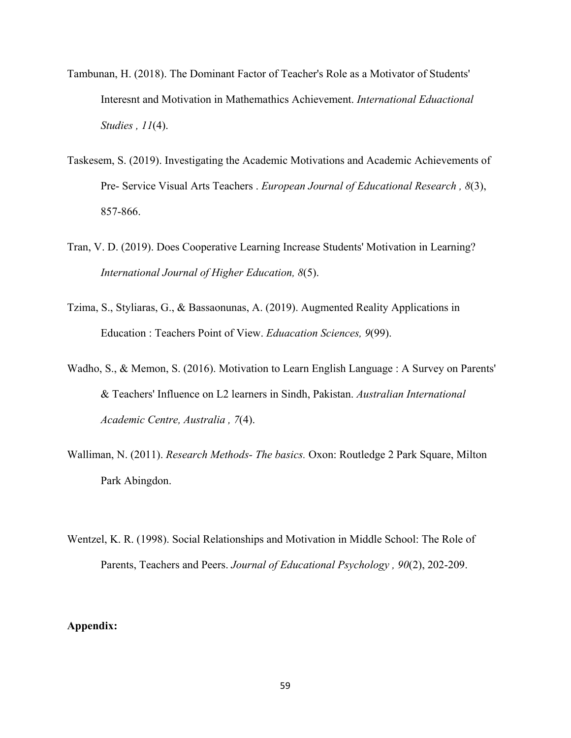- Tambunan, H. (2018). The Dominant Factor of Teacher's Role as a Motivator of Students' Interesnt and Motivation in Mathemathics Achievement. *International Eduactional Studies , 11*(4).
- Taskesem, S. (2019). Investigating the Academic Motivations and Academic Achievements of Pre- Service Visual Arts Teachers . *European Journal of Educational Research , 8*(3), 857-866.
- Tran, V. D. (2019). Does Cooperative Learning Increase Students' Motivation in Learning? *International Journal of Higher Education, 8*(5).
- Tzima, S., Styliaras, G., & Bassaonunas, A. (2019). Augmented Reality Applications in Education : Teachers Point of View. *Eduacation Sciences, 9*(99).
- Wadho, S., & Memon, S. (2016). Motivation to Learn English Language : A Survey on Parents' & Teachers' Influence on L2 learners in Sindh, Pakistan. *Australian International Academic Centre, Australia , 7*(4).
- Walliman, N. (2011). *Research Methods- The basics.* Oxon: Routledge 2 Park Square, Milton Park Abingdon.
- Wentzel, K. R. (1998). Social Relationships and Motivation in Middle School: The Role of Parents, Teachers and Peers. *Journal of Educational Psychology , 90*(2), 202-209.

## **Appendix:**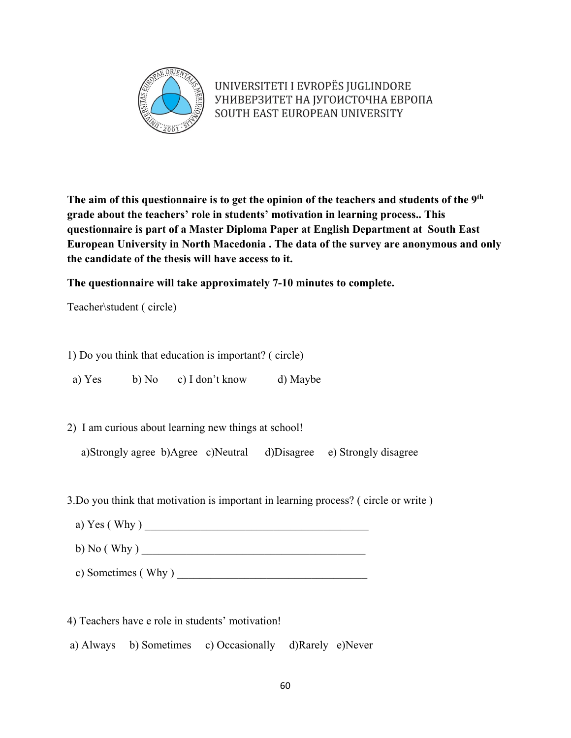

UNIVERSITETI I EVROPËS JUGLINDORE УНИВЕРЗИТЕТ НА ЈУГОИСТОЧНА ЕВРОПА SOUTH EAST EUROPEAN UNIVERSITY

**The aim of this questionnaire is to get the opinion of the teachers and students of the 9th grade about the teachers' role in students' motivation in learning process.. This questionnaire is part of a Master Diploma Paper at English Department at South East European University in North Macedonia . The data of the survey are anonymous and only the candidate of the thesis will have access to it.**

**The questionnaire will take approximately 7-10 minutes to complete.**

Teacher\student ( circle)

1) Do you think that education is important? ( circle)

a) Yes b) No c) I don't know d) Maybe

2) I am curious about learning new things at school!

a)Strongly agree b)Agree c)Neutral d)Disagree e) Strongly disagree

3.Do you think that motivation is important in learning process? ( circle or write )

a)  $Yes (Why)$ 

b)  $No$  ( Why )

c) Sometimes (Why )  $\overline{\qquad \qquad }$ 

4) Teachers have e role in students' motivation!

a) Always b) Sometimes c) Occasionally d)Rarely e)Never